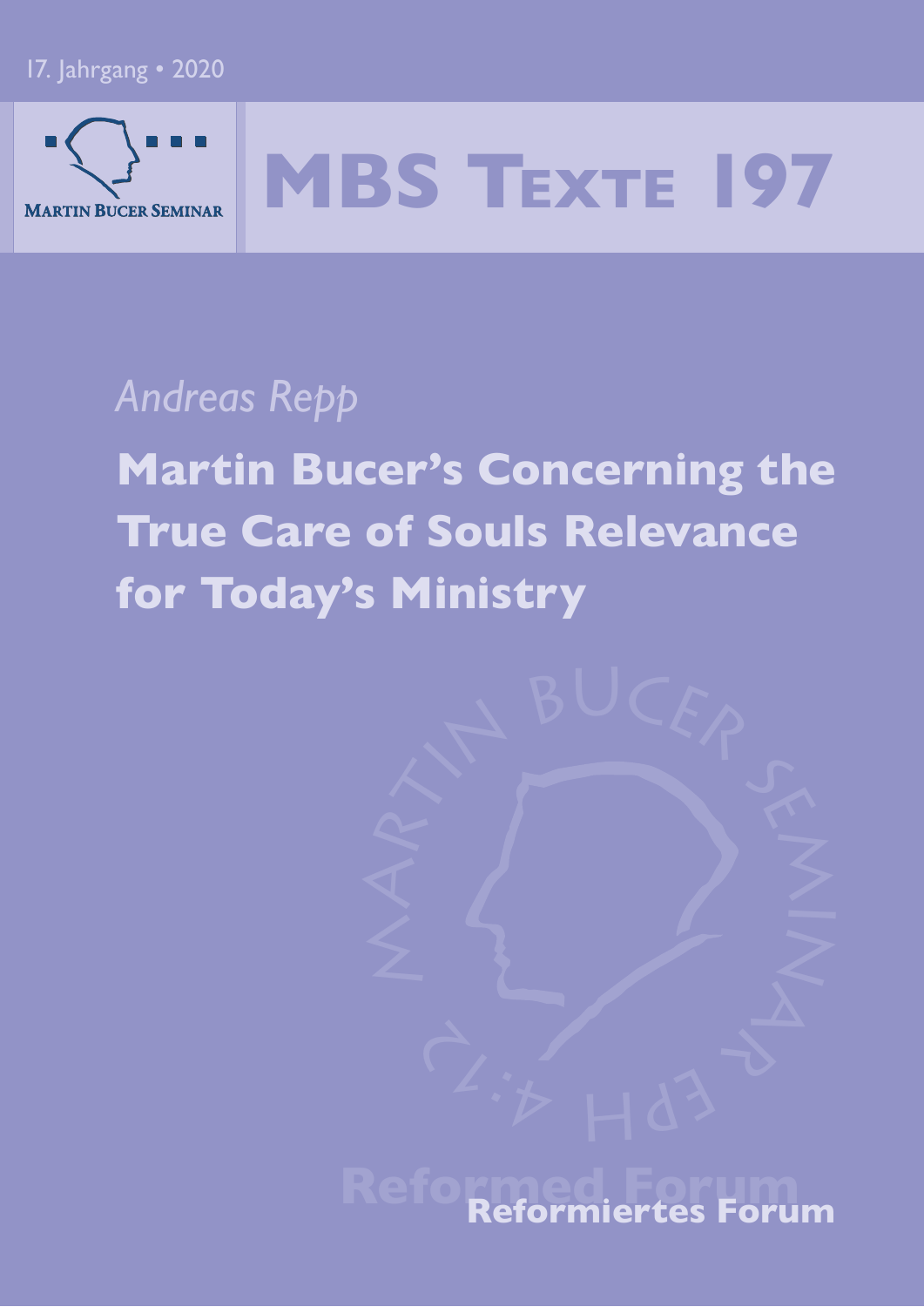### 17. Jahrgang • 2020



# **MBS TEXTE 197**

# *Andreas Repp*

**Martin Bucer's Concerning the True Care of Souls Relevance for Today's Ministry**



# **Reformiertes Forum**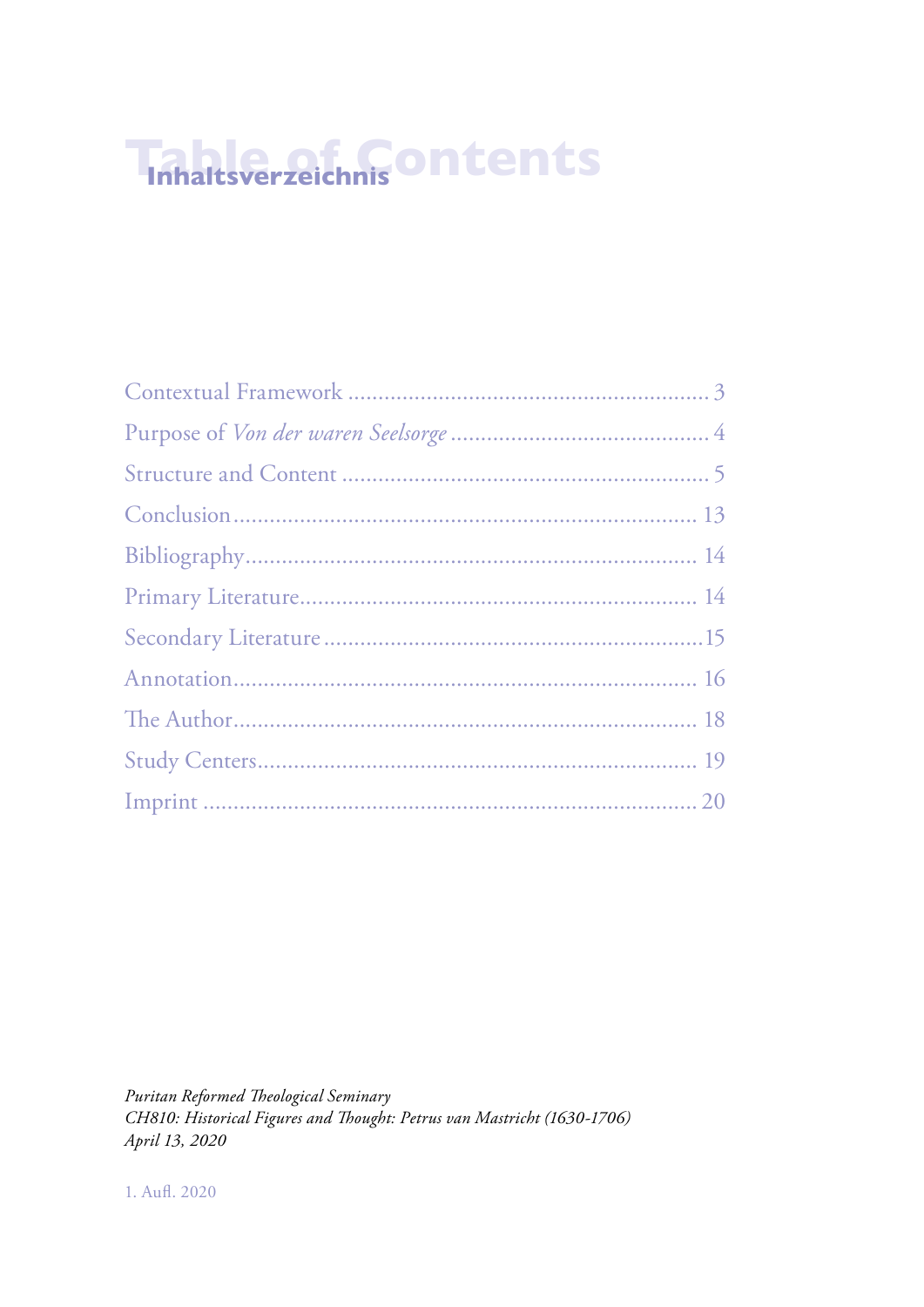# **Table of Contents Inhaltsverzeichnis**

*Puritan Reformed Theological Seminary CH810: Historical Figures and Thought: Petrus van Mastricht (1630-1706) April 13, 2020*

1. Aufl. 2020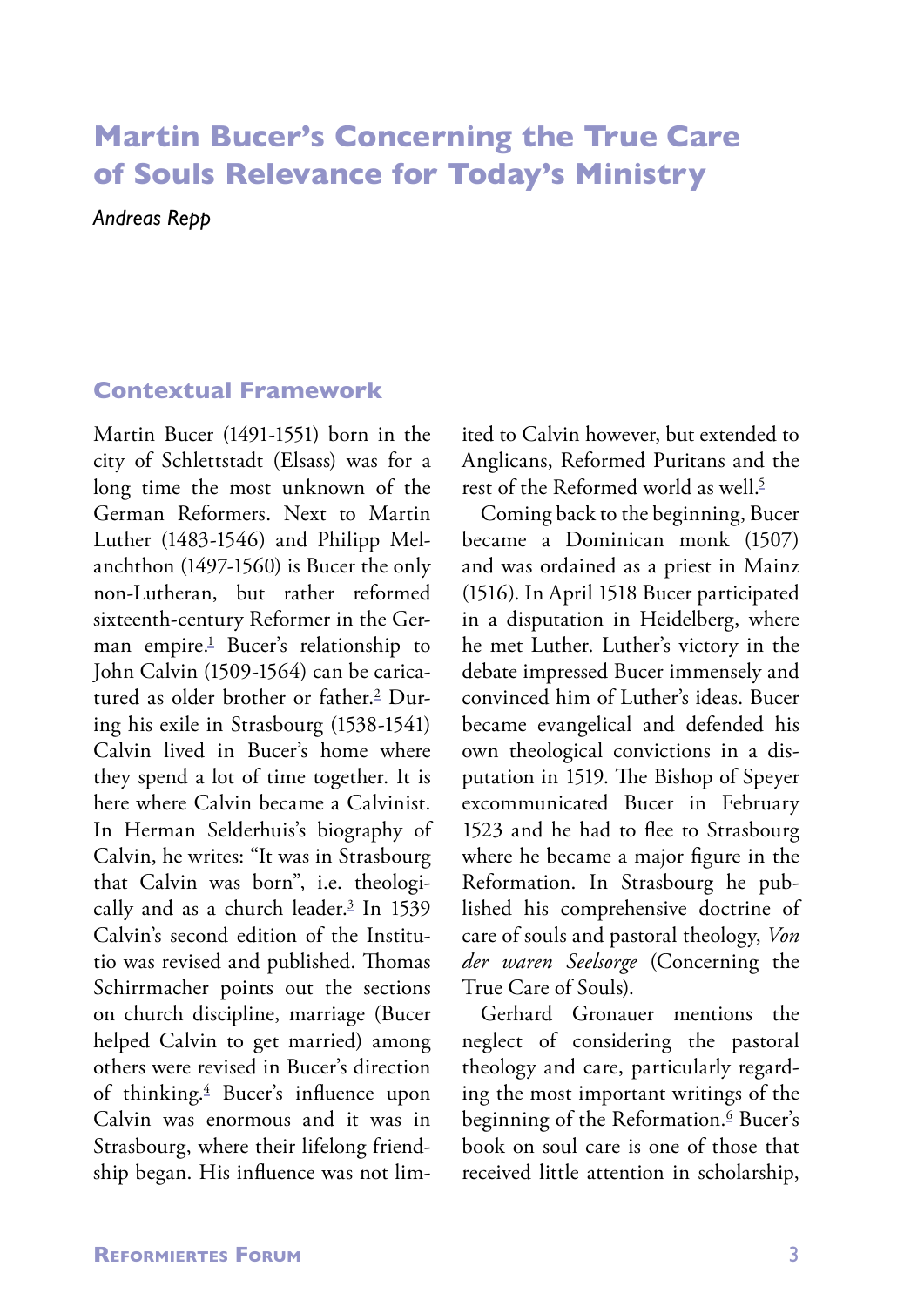## **Martin Bucer's Concerning the True Care of Souls Relevance for Today's Ministry**

*Andreas Repp*

### **Contextual Framework**

Martin Bucer (1491-1551) born in the city of Schlettstadt (Elsass) was for a long time the most unknown of the German Reformers. Next to Martin Luther (1483-1546) and Philipp Melanchthon (1497-1560) is Bucer the only non-Lutheran, but rather reformed sixteenth-century Reformer in the German empire.1 Bucer's relationship to John Calvin (1509-1564) can be caricatured as older brother or father.<sup>2</sup> During his exile in Strasbourg (1538-1541) Calvin lived in Bucer's home where they spend a lot of time together. It is here where Calvin became a Calvinist. In Herman Selderhuis's biography of Calvin, he writes: "It was in Strasbourg that Calvin was born", i.e. theologically and as a church leader.<sup>3</sup> In 1539 Calvin's second edition of the Institutio was revised and published. Thomas Schirrmacher points out the sections on church discipline, marriage (Bucer helped Calvin to get married) among others were revised in Bucer's direction of thinking.4 Bucer's influence upon Calvin was enormous and it was in Strasbourg, where their lifelong friendship began. His influence was not limited to Calvin however, but extended to Anglicans, Reformed Puritans and the rest of the Reformed world as well.<sup>5</sup>

Coming back to the beginning, Bucer became a Dominican monk (1507) and was ordained as a priest in Mainz (1516). In April 1518 Bucer participated in a disputation in Heidelberg, where he met Luther. Luther's victory in the debate impressed Bucer immensely and convinced him of Luther's ideas. Bucer became evangelical and defended his own theological convictions in a disputation in 1519. The Bishop of Speyer excommunicated Bucer in February 1523 and he had to flee to Strasbourg where he became a major figure in the Reformation. In Strasbourg he published his comprehensive doctrine of care of souls and pastoral theology, *Von der waren Seelsorge* (Concerning the True Care of Souls).

Gerhard Gronauer mentions the neglect of considering the pastoral theology and care, particularly regarding the most important writings of the beginning of the Reformation.<sup>6</sup> Bucer's book on soul care is one of those that received little attention in scholarship,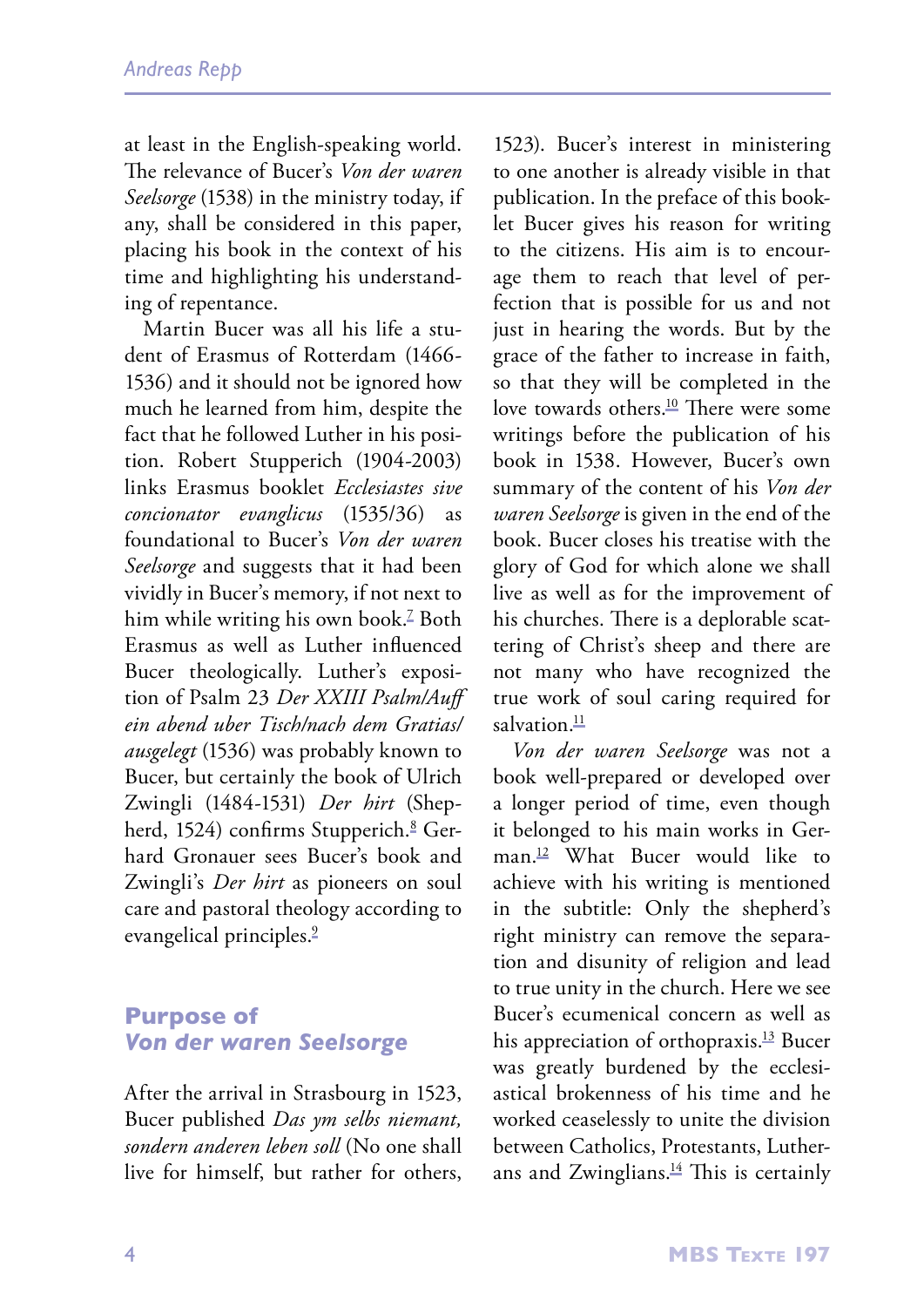at least in the English-speaking world. The relevance of Bucer's *Von der waren Seelsorge* (1538) in the ministry today, if any, shall be considered in this paper, placing his book in the context of his time and highlighting his understanding of repentance.

Martin Bucer was all his life a student of Erasmus of Rotterdam (1466- 1536) and it should not be ignored how much he learned from him, despite the fact that he followed Luther in his position. Robert Stupperich (1904-2003) links Erasmus booklet *Ecclesiastes sive concionator evanglicus* (1535/36) as foundational to Bucer's *Von der waren Seelsorge* and suggests that it had been vividly in Bucer's memory, if not next to him while writing his own book.7 Both Erasmus as well as Luther influenced Bucer theologically. Luther's exposition of Psalm 23 *Der XXIII Psalm/Auff ein abend uber Tisch/nach dem Gratias/ ausgelegt* (1536) was probably known to Bucer, but certainly the book of Ulrich Zwingli (1484-1531) *Der hirt* (Shepherd, 1524) confirms Stupperich.ª Gerhard Gronauer sees Bucer's book and Zwingli's *Der hirt* as pioneers on soul care and pastoral theology according to evangelical principles.<sup>2</sup>

### **Purpose of**  *Von der waren Seelsorge*

After the arrival in Strasbourg in 1523, Bucer published *Das ym selbs niemant, sondern anderen leben soll* (No one shall live for himself, but rather for others, 1523). Bucer's interest in ministering to one another is already visible in that publication. In the preface of this booklet Bucer gives his reason for writing to the citizens. His aim is to encourage them to reach that level of perfection that is possible for us and not just in hearing the words. But by the grace of the father to increase in faith, so that they will be completed in the love towards others.<sup>10</sup> There were some writings before the publication of his book in 1538. However, Bucer's own summary of the content of his *Von der waren Seelsorge* is given in the end of the book. Bucer closes his treatise with the glory of God for which alone we shall live as well as for the improvement of his churches. There is a deplorable scattering of Christ's sheep and there are not many who have recognized the true work of soul caring required for salvation $\frac{11}{2}$ 

*Von der waren Seelsorge* was not a book well-prepared or developed over a longer period of time, even though it belonged to his main works in German.12 What Bucer would like to achieve with his writing is mentioned in the subtitle: Only the shepherd's right ministry can remove the separation and disunity of religion and lead to true unity in the church. Here we see Bucer's ecumenical concern as well as his appreciation of orthopraxis.<sup>13</sup> Bucer was greatly burdened by the ecclesiastical brokenness of his time and he worked ceaselessly to unite the division between Catholics, Protestants, Lutherans and Zwinglians. $\frac{14}{11}$  This is certainly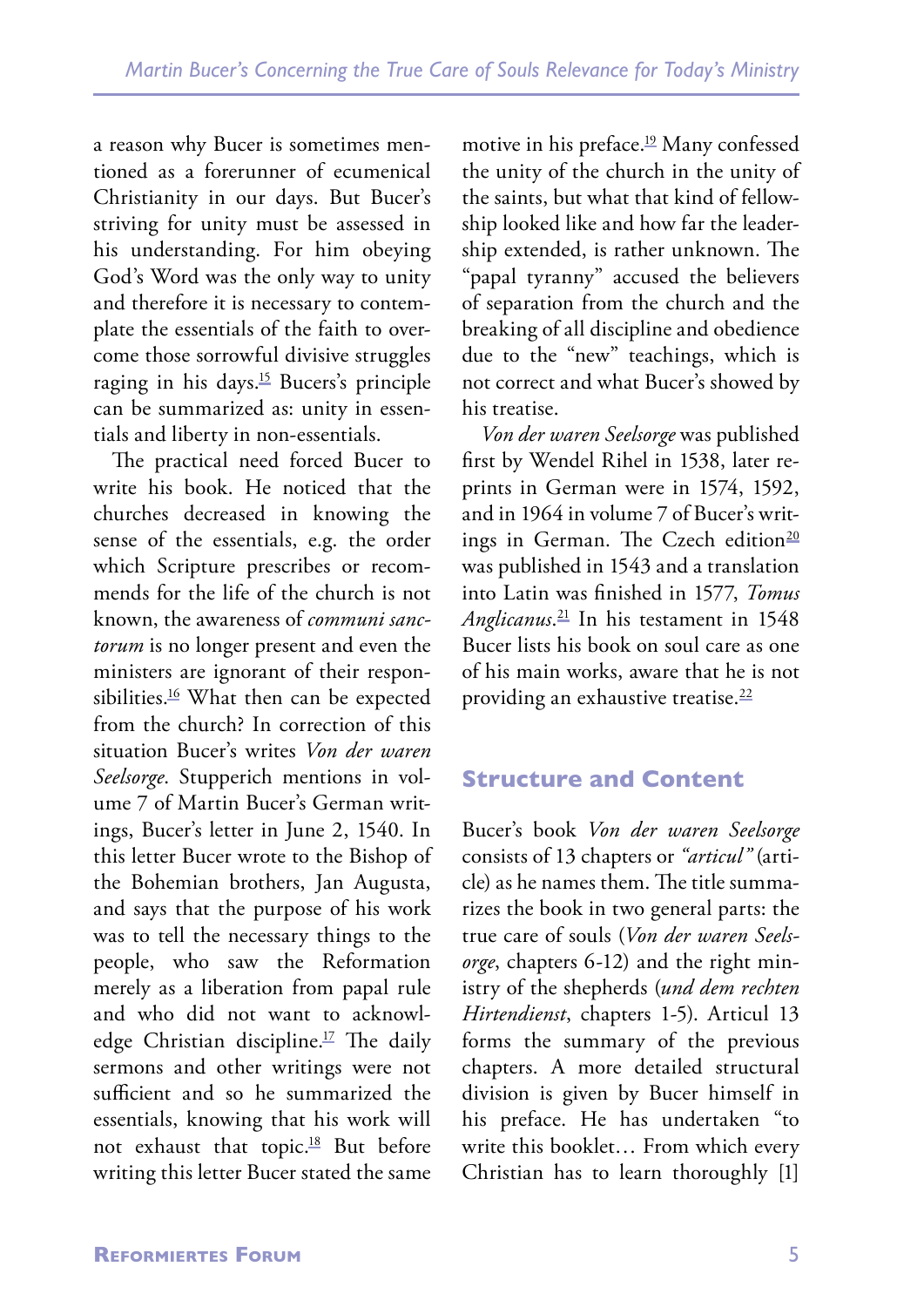a reason why Bucer is sometimes mentioned as a forerunner of ecumenical Christianity in our days. But Bucer's striving for unity must be assessed in his understanding. For him obeying God's Word was the only way to unity and therefore it is necessary to contemplate the essentials of the faith to overcome those sorrowful divisive struggles raging in his days.15 Bucers's principle can be summarized as: unity in essentials and liberty in non-essentials.

The practical need forced Bucer to write his book. He noticed that the churches decreased in knowing the sense of the essentials, e.g. the order which Scripture prescribes or recommends for the life of the church is not known, the awareness of *communi sanctorum* is no longer present and even the ministers are ignorant of their responsibilities.<sup>16</sup> What then can be expected from the church? In correction of this situation Bucer's writes *Von der waren Seelsorge*. Stupperich mentions in volume 7 of Martin Bucer's German writings, Bucer's letter in June 2, 1540. In this letter Bucer wrote to the Bishop of the Bohemian brothers, Jan Augusta, and says that the purpose of his work was to tell the necessary things to the people, who saw the Reformation merely as a liberation from papal rule and who did not want to acknowledge Christian discipline.17 The daily sermons and other writings were not sufficient and so he summarized the essentials, knowing that his work will not exhaust that topic.18 But before writing this letter Bucer stated the same

motive in his preface.<sup>19</sup> Many confessed the unity of the church in the unity of the saints, but what that kind of fellowship looked like and how far the leadership extended, is rather unknown. The "papal tyranny" accused the believers of separation from the church and the breaking of all discipline and obedience due to the "new" teachings, which is not correct and what Bucer's showed by his treatise.

*Von der waren Seelsorge* was published first by Wendel Rihel in 1538, later reprints in German were in 1574, 1592, and in 1964 in volume 7 of Bucer's writings in German. The Czech edition<sup>20</sup> was published in 1543 and a translation into Latin was finished in 1577, *Tomus Anglicanus*. 21 In his testament in 1548 Bucer lists his book on soul care as one of his main works, aware that he is not providing an exhaustive treatise.<sup>22</sup>

### **Structure and Content**

Bucer's book *Von der waren Seelsorge* consists of 13 chapters or *"articul"* (article) as he names them. The title summarizes the book in two general parts: the true care of souls (*Von der waren Seelsorge*, chapters 6-12) and the right ministry of the shepherds (*und dem rechten Hirtendienst*, chapters 1-5). Articul 13 forms the summary of the previous chapters. A more detailed structural division is given by Bucer himself in his preface. He has undertaken "to write this booklet… From which every Christian has to learn thoroughly [1]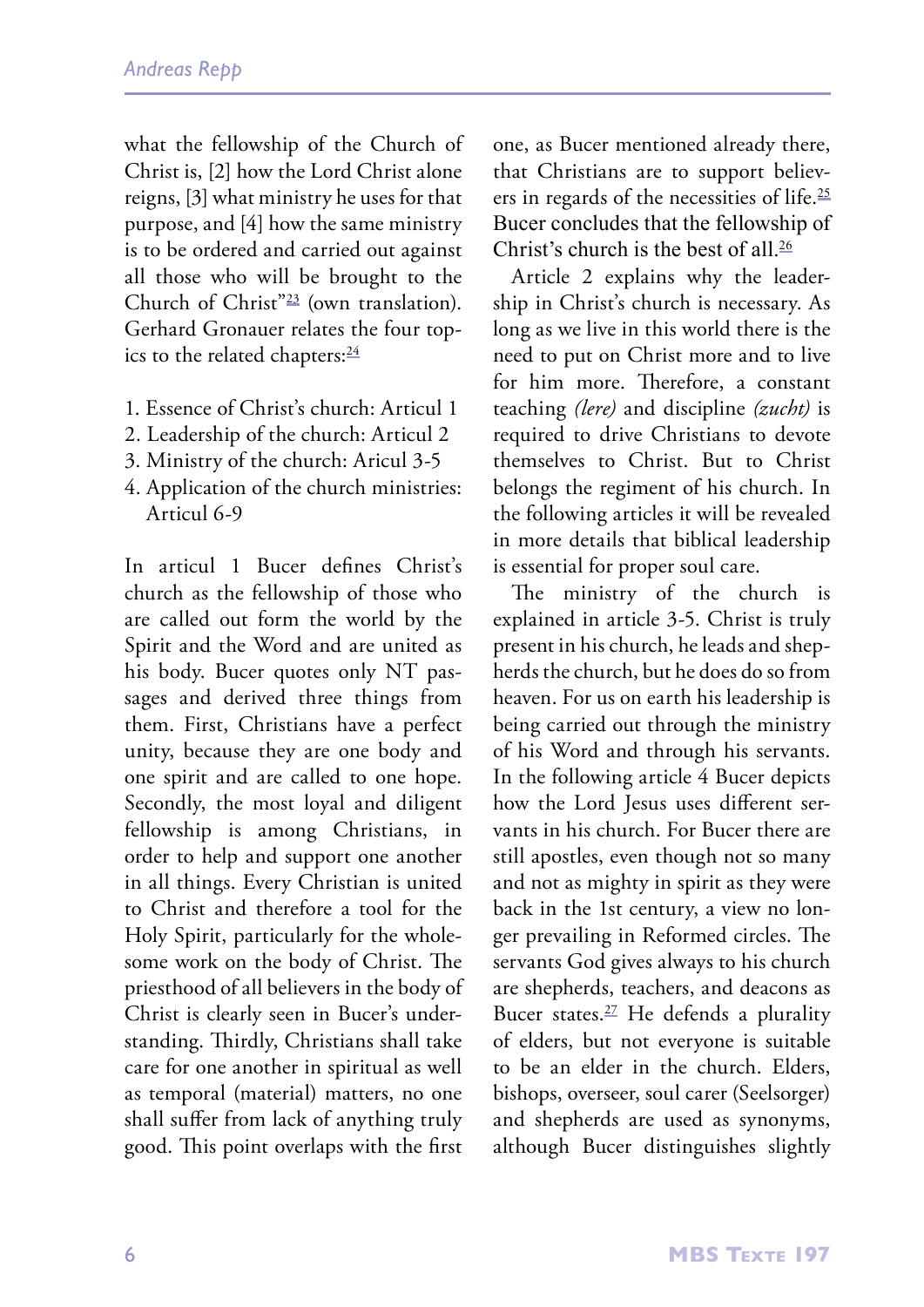what the fellowship of the Church of Christ is, [2] how the Lord Christ alone reigns, [3] what ministry he uses for that purpose, and [4] how the same ministry is to be ordered and carried out against all those who will be brought to the Church of Christ"23 (own translation). Gerhard Gronauer relates the four topics to the related chapters:<sup>24</sup>

- 1. Essence of Christ's church: Articul 1
- 2. Leadership of the church: Articul 2
- 3. Ministry of the church: Aricul 3-5
- 4. Application of the church ministries: Articul 6-9

In articul 1 Bucer defines Christ's church as the fellowship of those who are called out form the world by the Spirit and the Word and are united as his body. Bucer quotes only NT passages and derived three things from them. First, Christians have a perfect unity, because they are one body and one spirit and are called to one hope. Secondly, the most loyal and diligent fellowship is among Christians, in order to help and support one another in all things. Every Christian is united to Christ and therefore a tool for the Holy Spirit, particularly for the wholesome work on the body of Christ. The priesthood of all believers in the body of Christ is clearly seen in Bucer's understanding. Thirdly, Christians shall take care for one another in spiritual as well as temporal (material) matters, no one shall suffer from lack of anything truly good. This point overlaps with the first one, as Bucer mentioned already there, that Christians are to support believers in regards of the necessities of life.<sup>25</sup> Bucer concludes that the fellowship of Christ's church is the best of all  $\frac{26}{5}$ 

Article 2 explains why the leadership in Christ's church is necessary. As long as we live in this world there is the need to put on Christ more and to live for him more. Therefore, a constant teaching *(lere)* and discipline *(zucht)* is required to drive Christians to devote themselves to Christ. But to Christ belongs the regiment of his church. In the following articles it will be revealed in more details that biblical leadership is essential for proper soul care.

The ministry of the church is explained in article 3-5. Christ is truly present in his church, he leads and shepherds the church, but he does do so from heaven. For us on earth his leadership is being carried out through the ministry of his Word and through his servants. In the following article 4 Bucer depicts how the Lord Jesus uses different servants in his church. For Bucer there are still apostles, even though not so many and not as mighty in spirit as they were back in the 1st century, a view no longer prevailing in Reformed circles. The servants God gives always to his church are shepherds, teachers, and deacons as Bucer states.<sup>27</sup> He defends a plurality of elders, but not everyone is suitable to be an elder in the church. Elders, bishops, overseer, soul carer (Seelsorger) and shepherds are used as synonyms, although Bucer distinguishes slightly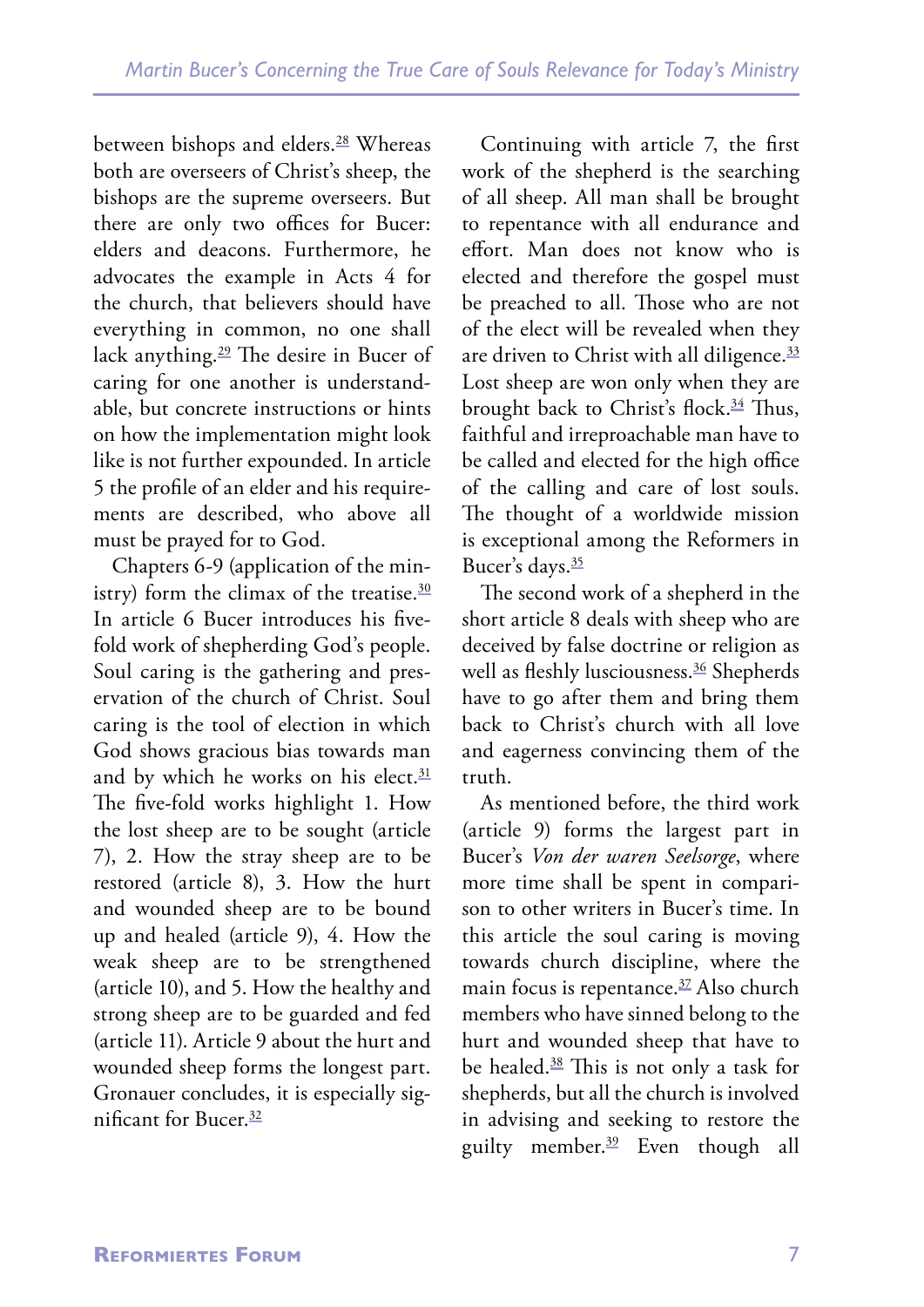between bishops and elders.<sup>28</sup> Whereas both are overseers of Christ's sheep, the bishops are the supreme overseers. But there are only two offices for Bucer: elders and deacons. Furthermore, he advocates the example in Acts 4 for the church, that believers should have everything in common, no one shall lack anything.29 The desire in Bucer of caring for one another is understandable, but concrete instructions or hints on how the implementation might look like is not further expounded. In article 5 the profile of an elder and his requirements are described, who above all must be prayed for to God.

Chapters 6-9 (application of the ministry) form the climax of the treatise. $30$ In article 6 Bucer introduces his fivefold work of shepherding God's people. Soul caring is the gathering and preservation of the church of Christ. Soul caring is the tool of election in which God shows gracious bias towards man and by which he works on his elect.<sup>31</sup> The five-fold works highlight 1. How the lost sheep are to be sought (article 7), 2. How the stray sheep are to be restored (article 8), 3. How the hurt and wounded sheep are to be bound up and healed (article 9), 4. How the weak sheep are to be strengthened (article 10), and 5. How the healthy and strong sheep are to be guarded and fed (article 11). Article 9 about the hurt and wounded sheep forms the longest part. Gronauer concludes, it is especially significant for Bucer.32

Continuing with article 7, the first work of the shepherd is the searching of all sheep. All man shall be brought to repentance with all endurance and effort. Man does not know who is elected and therefore the gospel must be preached to all. Those who are not of the elect will be revealed when they are driven to Christ with all diligence.<sup>33</sup> Lost sheep are won only when they are brought back to Christ's flock.<sup>34</sup> Thus, faithful and irreproachable man have to be called and elected for the high office of the calling and care of lost souls. The thought of a worldwide mission is exceptional among the Reformers in Bucer's days.<sup>35</sup>

The second work of a shepherd in the short article 8 deals with sheep who are deceived by false doctrine or religion as well as fleshly lusciousness.<sup>36</sup> Shepherds have to go after them and bring them back to Christ's church with all love and eagerness convincing them of the truth.

As mentioned before, the third work (article 9) forms the largest part in Bucer's *Von der waren Seelsorge*, where more time shall be spent in comparison to other writers in Bucer's time. In this article the soul caring is moving towards church discipline, where the main focus is repentance.<sup>37</sup> Also church members who have sinned belong to the hurt and wounded sheep that have to be healed.38 This is not only a task for shepherds, but all the church is involved in advising and seeking to restore the guilty member.39 Even though all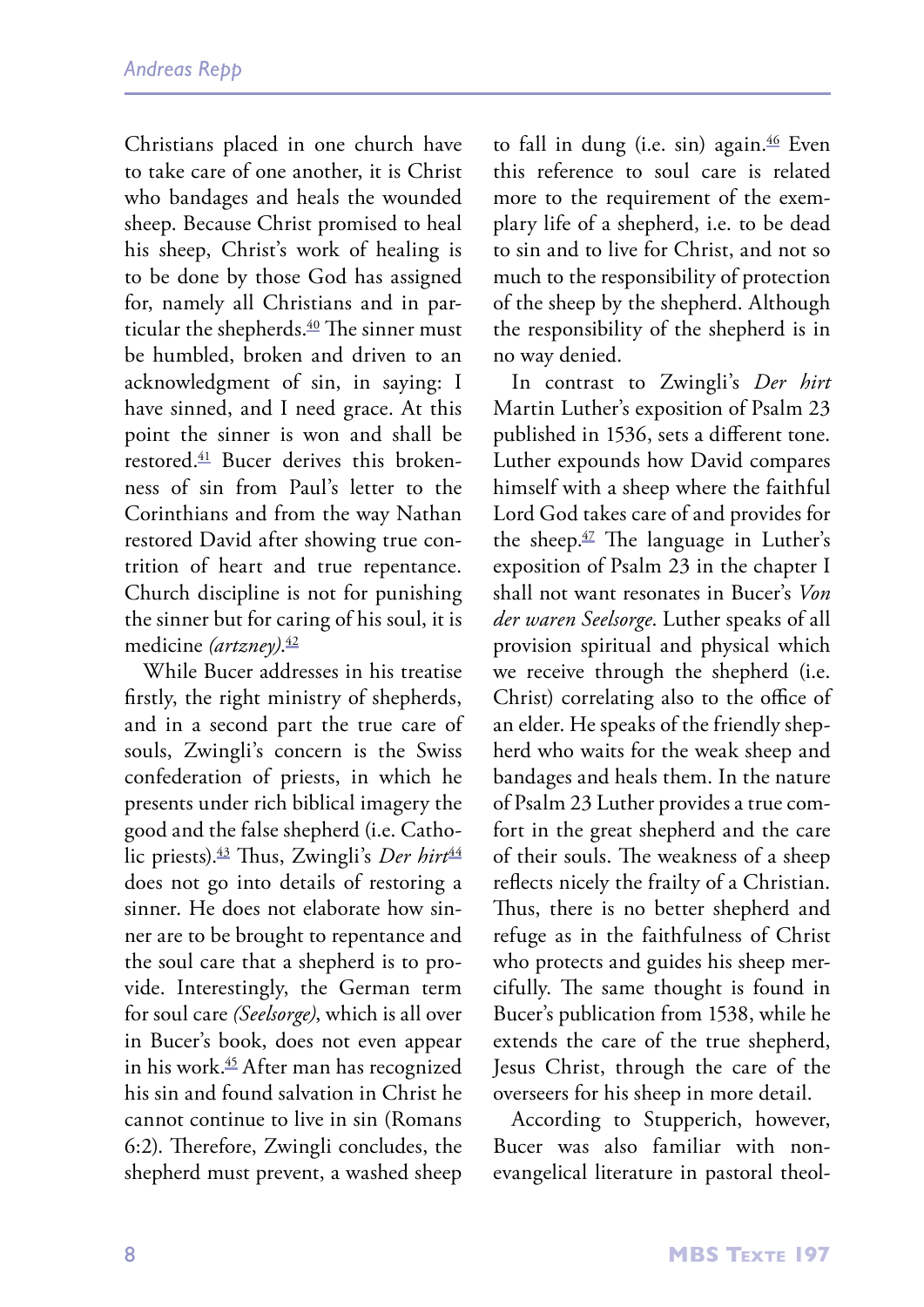Christians placed in one church have to take care of one another, it is Christ who bandages and heals the wounded sheep. Because Christ promised to heal his sheep, Christ's work of healing is to be done by those God has assigned for, namely all Christians and in particular the shepherds.<sup>40</sup> The sinner must be humbled, broken and driven to an acknowledgment of sin, in saying: I have sinned, and I need grace. At this point the sinner is won and shall be restored.41 Bucer derives this brokenness of sin from Paul's letter to the Corinthians and from the way Nathan restored David after showing true contrition of heart and true repentance. Church discipline is not for punishing the sinner but for caring of his soul, it is medicine *(artzney)*. 42

While Bucer addresses in his treatise firstly, the right ministry of shepherds, and in a second part the true care of souls, Zwingli's concern is the Swiss confederation of priests, in which he presents under rich biblical imagery the good and the false shepherd (i.e. Catholic priests).<sup>43</sup> Thus, Zwingli's *Der hirt*<sup>44</sup> does not go into details of restoring a sinner. He does not elaborate how sinner are to be brought to repentance and the soul care that a shepherd is to provide. Interestingly, the German term for soul care *(Seelsorge)*, which is all over in Bucer's book, does not even appear in his work.45 After man has recognized his sin and found salvation in Christ he cannot continue to live in sin (Romans 6:2). Therefore, Zwingli concludes, the shepherd must prevent, a washed sheep to fall in dung (i.e. sin) again.<sup>46</sup> Even this reference to soul care is related more to the requirement of the exemplary life of a shepherd, i.e. to be dead to sin and to live for Christ, and not so much to the responsibility of protection of the sheep by the shepherd. Although the responsibility of the shepherd is in no way denied.

In contrast to Zwingli's *Der hirt* Martin Luther's exposition of Psalm 23 published in 1536, sets a different tone. Luther expounds how David compares himself with a sheep where the faithful Lord God takes care of and provides for the sheep. $\frac{47}{1}$  The language in Luther's exposition of Psalm 23 in the chapter I shall not want resonates in Bucer's *Von der waren Seelsorge*. Luther speaks of all provision spiritual and physical which we receive through the shepherd (i.e. Christ) correlating also to the office of an elder. He speaks of the friendly shepherd who waits for the weak sheep and bandages and heals them. In the nature of Psalm 23 Luther provides a true comfort in the great shepherd and the care of their souls. The weakness of a sheep reflects nicely the frailty of a Christian. Thus, there is no better shepherd and refuge as in the faithfulness of Christ who protects and guides his sheep mercifully. The same thought is found in Bucer's publication from 1538, while he extends the care of the true shepherd, Jesus Christ, through the care of the overseers for his sheep in more detail.

According to Stupperich, however, Bucer was also familiar with nonevangelical literature in pastoral theol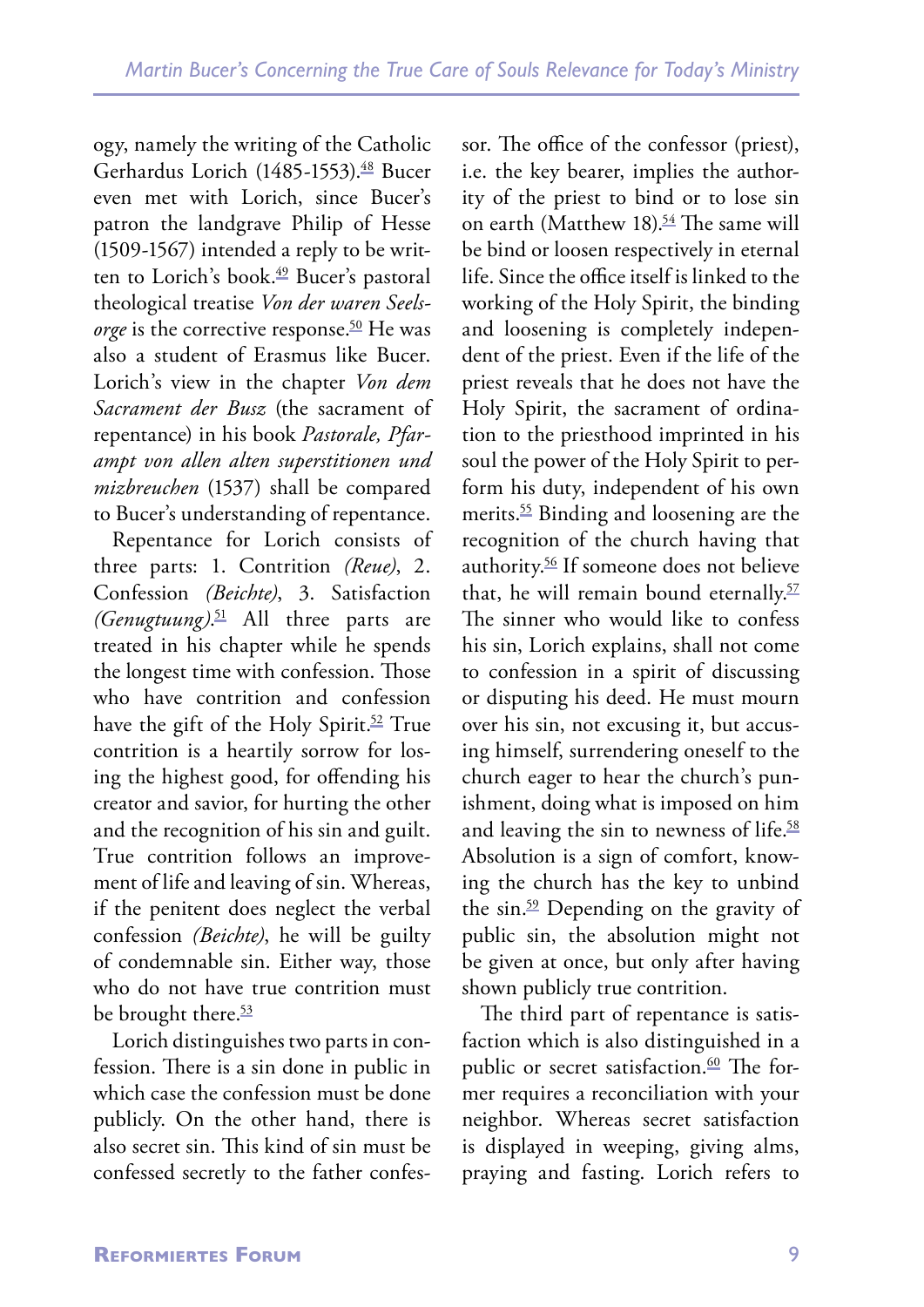ogy, namely the writing of the Catholic Gerhardus Lorich (1485-1553).<sup>48</sup> Bucer even met with Lorich, since Bucer's patron the landgrave Philip of Hesse (1509-1567) intended a reply to be written to Lorich's book.<sup>49</sup> Bucer's pastoral theological treatise *Von der waren Seelsorge* is the corrective response.<sup>50</sup> He was also a student of Erasmus like Bucer. Lorich's view in the chapter *Von dem Sacrament der Busz* (the sacrament of repentance) in his book *Pastorale, Pfarampt von allen alten superstitionen und mizbreuchen* (1537) shall be compared to Bucer's understanding of repentance.

Repentance for Lorich consists of three parts: 1. Contrition *(Reue)*, 2. Confession *(Beichte)*, 3. Satisfaction *(Genugtuung)*. 51 All three parts are treated in his chapter while he spends the longest time with confession. Those who have contrition and confession have the gift of the Holy Spirit.<sup>52</sup> True contrition is a heartily sorrow for losing the highest good, for offending his creator and savior, for hurting the other and the recognition of his sin and guilt. True contrition follows an improvement of life and leaving of sin. Whereas, if the penitent does neglect the verbal confession *(Beichte)*, he will be guilty of condemnable sin. Either way, those who do not have true contrition must be brought there.<sup>53</sup>

Lorich distinguishes two parts in confession. There is a sin done in public in which case the confession must be done publicly. On the other hand, there is also secret sin. This kind of sin must be confessed secretly to the father confessor. The office of the confessor (priest), i.e. the key bearer, implies the authority of the priest to bind or to lose sin on earth (Matthew 18).<sup>54</sup> The same will be bind or loosen respectively in eternal life. Since the office itself is linked to the working of the Holy Spirit, the binding and loosening is completely independent of the priest. Even if the life of the priest reveals that he does not have the Holy Spirit, the sacrament of ordination to the priesthood imprinted in his soul the power of the Holy Spirit to perform his duty, independent of his own merits.55 Binding and loosening are the recognition of the church having that authority.56 If someone does not believe that, he will remain bound eternally.<sup>57</sup> The sinner who would like to confess his sin, Lorich explains, shall not come to confession in a spirit of discussing or disputing his deed. He must mourn over his sin, not excusing it, but accusing himself, surrendering oneself to the church eager to hear the church's punishment, doing what is imposed on him and leaving the sin to newness of life.<sup>58</sup> Absolution is a sign of comfort, knowing the church has the key to unbind the sin.59 Depending on the gravity of public sin, the absolution might not be given at once, but only after having shown publicly true contrition.

The third part of repentance is satisfaction which is also distinguished in a public or secret satisfaction.<sup>60</sup> The former requires a reconciliation with your neighbor. Whereas secret satisfaction is displayed in weeping, giving alms, praying and fasting. Lorich refers to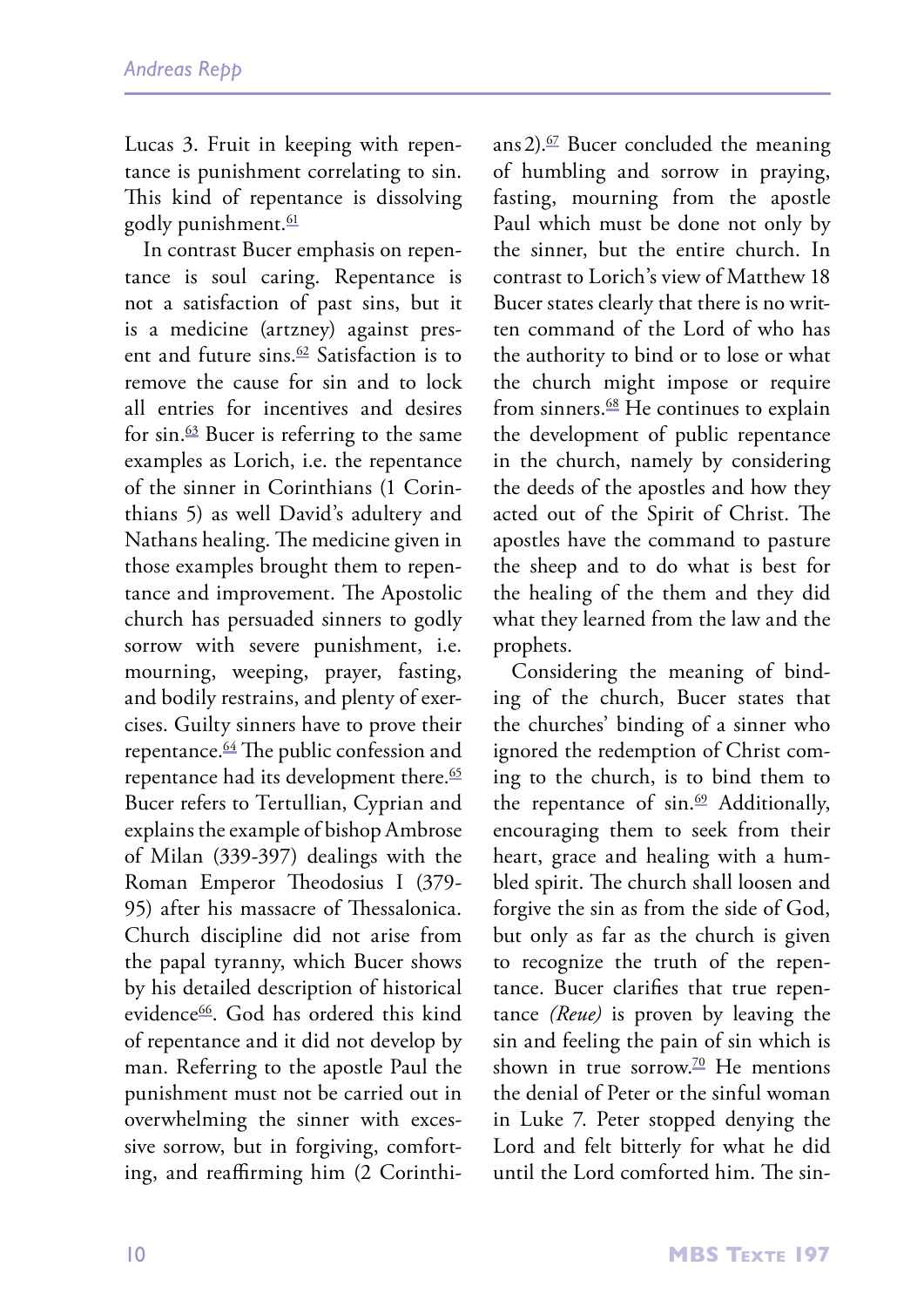Lucas 3. Fruit in keeping with repentance is punishment correlating to sin. This kind of repentance is dissolving godly punishment.<sup>61</sup>

In contrast Bucer emphasis on repentance is soul caring. Repentance is not a satisfaction of past sins, but it is a medicine (artzney) against present and future sins. $62$  Satisfaction is to remove the cause for sin and to lock all entries for incentives and desires for sin. $\frac{63}{5}$  Bucer is referring to the same examples as Lorich, i.e. the repentance of the sinner in Corinthians (1 Corinthians 5) as well David's adultery and Nathans healing. The medicine given in those examples brought them to repentance and improvement. The Apostolic church has persuaded sinners to godly sorrow with severe punishment, i.e. mourning, weeping, prayer, fasting, and bodily restrains, and plenty of exercises. Guilty sinners have to prove their repentance.64 The public confession and repentance had its development there.<sup>65</sup> Bucer refers to Tertullian, Cyprian and explains the example of bishop Ambrose of Milan (339-397) dealings with the Roman Emperor Theodosius I (379- 95) after his massacre of Thessalonica. Church discipline did not arise from the papal tyranny, which Bucer shows by his detailed description of historical evidence66. God has ordered this kind of repentance and it did not develop by man. Referring to the apostle Paul the punishment must not be carried out in overwhelming the sinner with excessive sorrow, but in forgiving, comforting, and reaffirming him (2 Corinthians 2). $\frac{67}{2}$  Bucer concluded the meaning of humbling and sorrow in praying, fasting, mourning from the apostle Paul which must be done not only by the sinner, but the entire church. In contrast to Lorich's view of Matthew 18 Bucer states clearly that there is no written command of the Lord of who has the authority to bind or to lose or what the church might impose or require from sinners.<sup>68</sup> He continues to explain the development of public repentance in the church, namely by considering the deeds of the apostles and how they acted out of the Spirit of Christ. The apostles have the command to pasture the sheep and to do what is best for the healing of the them and they did what they learned from the law and the prophets.

Considering the meaning of binding of the church, Bucer states that the churches' binding of a sinner who ignored the redemption of Christ coming to the church, is to bind them to the repentance of  $sin.69$  Additionally, encouraging them to seek from their heart, grace and healing with a humbled spirit. The church shall loosen and forgive the sin as from the side of God, but only as far as the church is given to recognize the truth of the repentance. Bucer clarifies that true repentance *(Reue)* is proven by leaving the sin and feeling the pain of sin which is shown in true sorrow.<sup>70</sup> He mentions the denial of Peter or the sinful woman in Luke 7. Peter stopped denying the Lord and felt bitterly for what he did until the Lord comforted him. The sin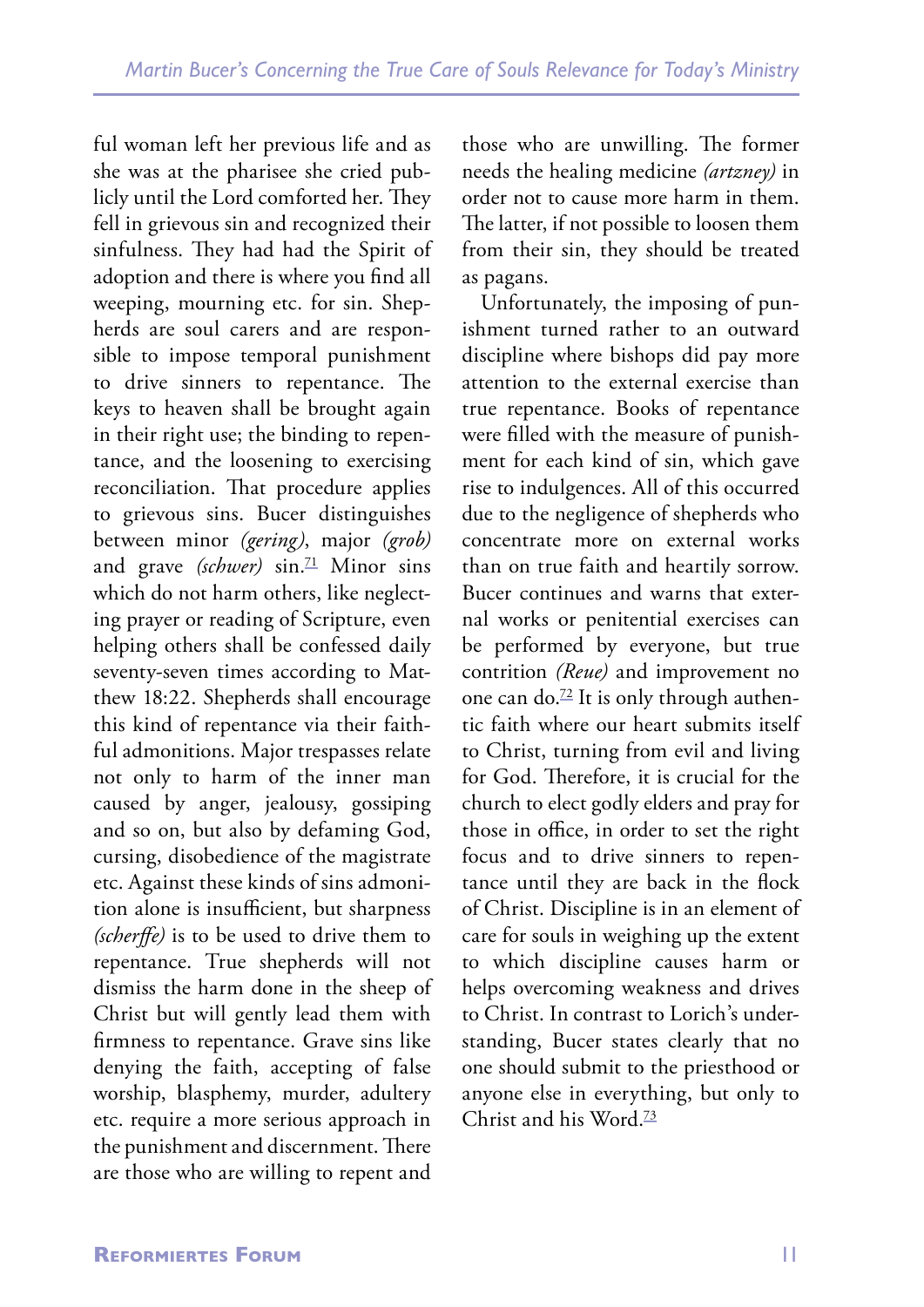ful woman left her previous life and as she was at the pharisee she cried publicly until the Lord comforted her. They fell in grievous sin and recognized their sinfulness. They had had the Spirit of adoption and there is where you find all weeping, mourning etc. for sin. Shepherds are soul carers and are responsible to impose temporal punishment to drive sinners to repentance. The keys to heaven shall be brought again in their right use; the binding to repentance, and the loosening to exercising reconciliation. That procedure applies to grievous sins. Bucer distinguishes between minor *(gering)*, major *(grob)*  and grave *(schwer)* sin.<sup>71</sup> Minor sins which do not harm others, like neglecting prayer or reading of Scripture, even helping others shall be confessed daily seventy-seven times according to Matthew 18:22. Shepherds shall encourage this kind of repentance via their faithful admonitions. Major trespasses relate not only to harm of the inner man caused by anger, jealousy, gossiping and so on, but also by defaming God, cursing, disobedience of the magistrate etc. Against these kinds of sins admonition alone is insufficient, but sharpness *(scherffe)* is to be used to drive them to repentance. True shepherds will not dismiss the harm done in the sheep of Christ but will gently lead them with firmness to repentance. Grave sins like denying the faith, accepting of false worship, blasphemy, murder, adultery etc. require a more serious approach in the punishment and discernment. There are those who are willing to repent and

those who are unwilling. The former needs the healing medicine *(artzney)* in order not to cause more harm in them. The latter, if not possible to loosen them from their sin, they should be treated as pagans.

Unfortunately, the imposing of punishment turned rather to an outward discipline where bishops did pay more attention to the external exercise than true repentance. Books of repentance were filled with the measure of punishment for each kind of sin, which gave rise to indulgences. All of this occurred due to the negligence of shepherds who concentrate more on external works than on true faith and heartily sorrow. Bucer continues and warns that external works or penitential exercises can be performed by everyone, but true contrition *(Reue)* and improvement no one can do. $72$  It is only through authentic faith where our heart submits itself to Christ, turning from evil and living for God. Therefore, it is crucial for the church to elect godly elders and pray for those in office, in order to set the right focus and to drive sinners to repentance until they are back in the flock of Christ. Discipline is in an element of care for souls in weighing up the extent to which discipline causes harm or helps overcoming weakness and drives to Christ. In contrast to Lorich's understanding, Bucer states clearly that no one should submit to the priesthood or anyone else in everything, but only to Christ and his Word.73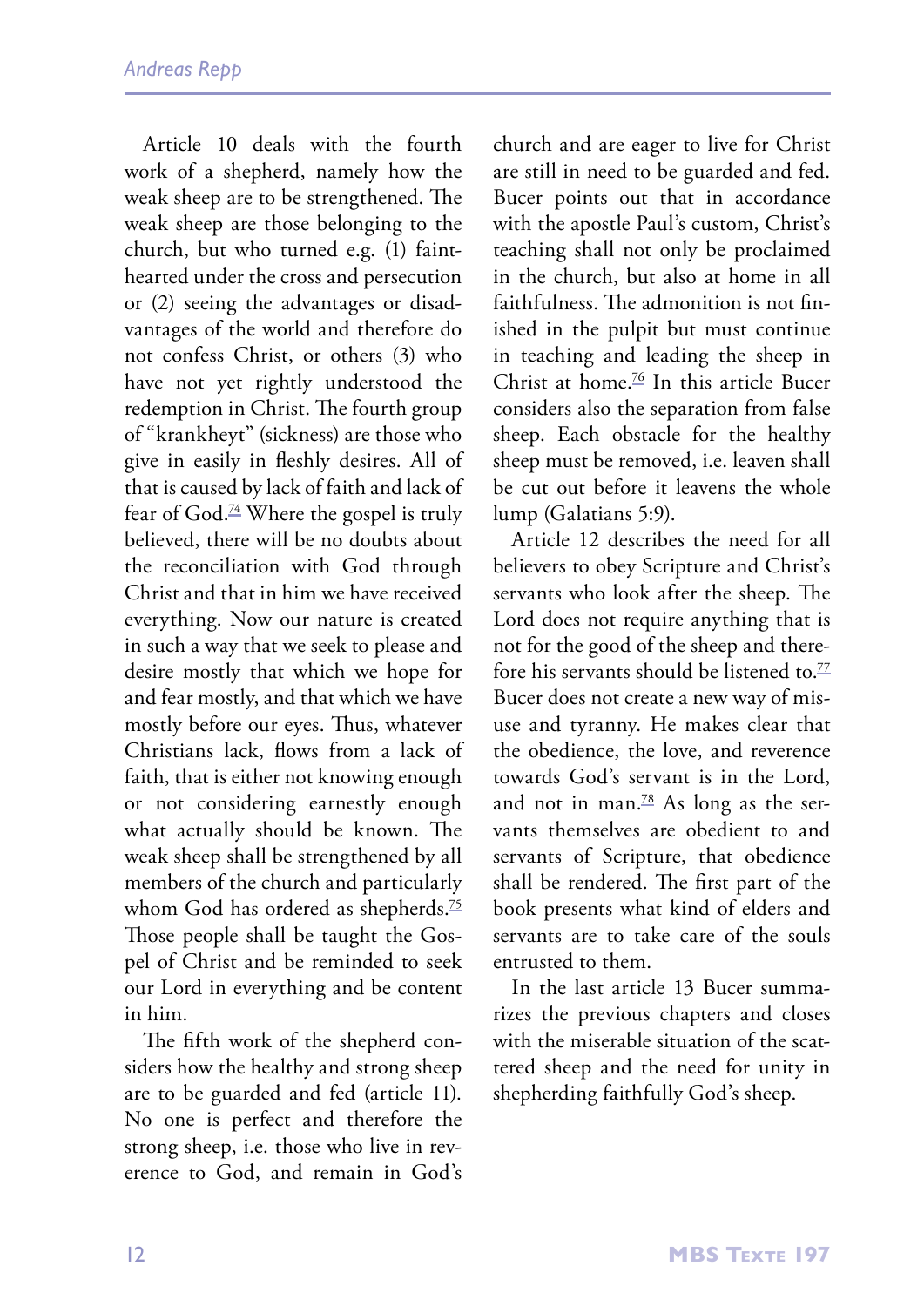Article 10 deals with the fourth work of a shepherd, namely how the weak sheep are to be strengthened. The weak sheep are those belonging to the church, but who turned e.g. (1) fainthearted under the cross and persecution or (2) seeing the advantages or disadvantages of the world and therefore do not confess Christ, or others (3) who have not yet rightly understood the redemption in Christ. The fourth group of "krankheyt" (sickness) are those who give in easily in fleshly desires. All of that is caused by lack of faith and lack of fear of  $God.^{24}$  Where the gospel is truly believed, there will be no doubts about the reconciliation with God through Christ and that in him we have received everything. Now our nature is created in such a way that we seek to please and desire mostly that which we hope for and fear mostly, and that which we have mostly before our eyes. Thus, whatever Christians lack, flows from a lack of faith, that is either not knowing enough or not considering earnestly enough what actually should be known. The weak sheep shall be strengthened by all members of the church and particularly whom God has ordered as shepherds.<sup>75</sup> Those people shall be taught the Gospel of Christ and be reminded to seek our Lord in everything and be content in him.

The fifth work of the shepherd considers how the healthy and strong sheep are to be guarded and fed (article 11). No one is perfect and therefore the strong sheep, i.e. those who live in reverence to God, and remain in God's church and are eager to live for Christ are still in need to be guarded and fed. Bucer points out that in accordance with the apostle Paul's custom, Christ's teaching shall not only be proclaimed in the church, but also at home in all faithfulness. The admonition is not finished in the pulpit but must continue in teaching and leading the sheep in Christ at home.<sup>76</sup> In this article Bucer considers also the separation from false sheep. Each obstacle for the healthy sheep must be removed, i.e. leaven shall be cut out before it leavens the whole lump (Galatians 5:9).

Article 12 describes the need for all believers to obey Scripture and Christ's servants who look after the sheep. The Lord does not require anything that is not for the good of the sheep and therefore his servants should be listened to.<sup>77</sup> Bucer does not create a new way of misuse and tyranny. He makes clear that the obedience, the love, and reverence towards God's servant is in the Lord, and not in man. $78$  As long as the servants themselves are obedient to and servants of Scripture, that obedience shall be rendered. The first part of the book presents what kind of elders and servants are to take care of the souls entrusted to them.

In the last article 13 Bucer summarizes the previous chapters and closes with the miserable situation of the scattered sheep and the need for unity in shepherding faithfully God's sheep.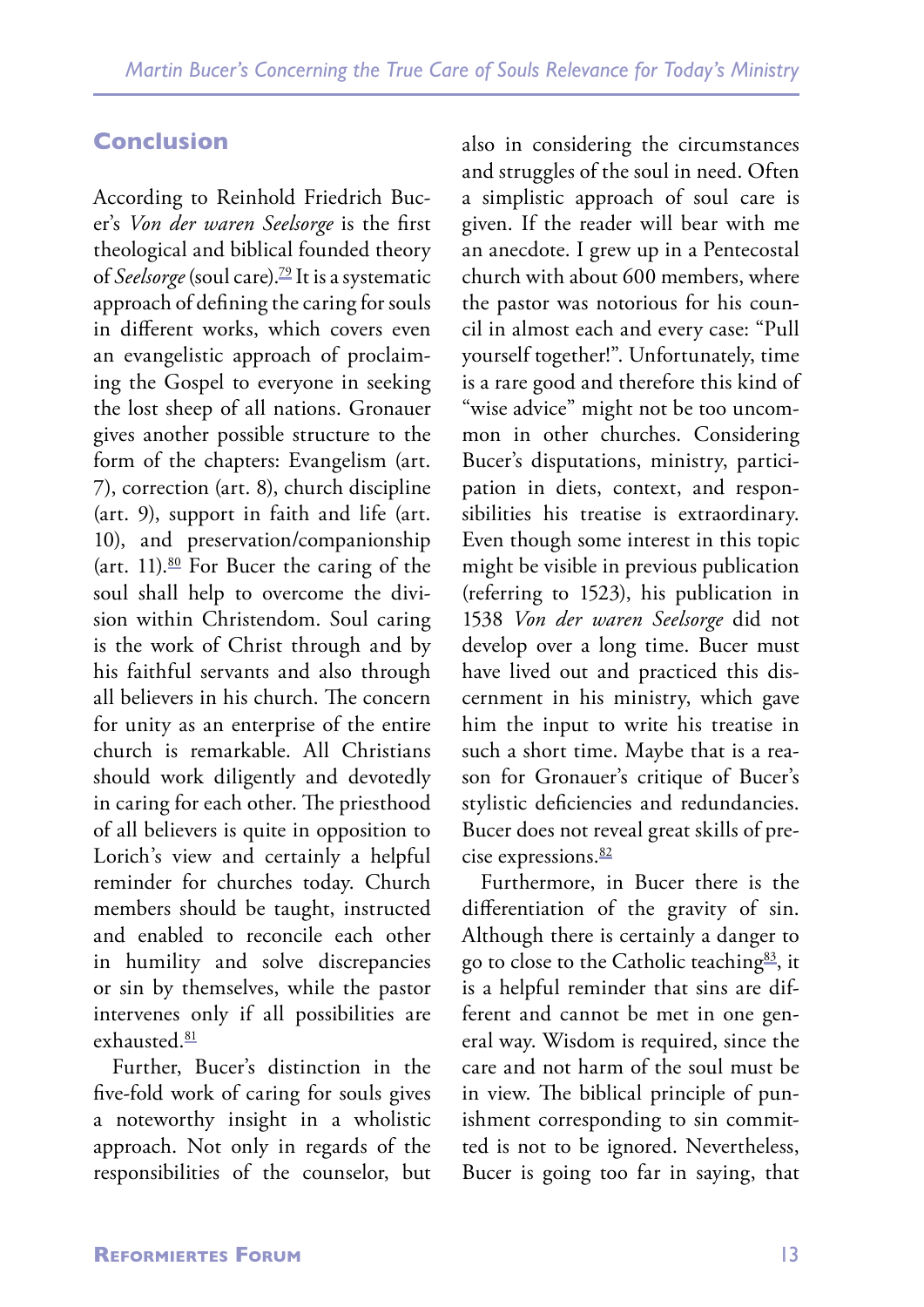### **Conclusion**

According to Reinhold Friedrich Bucer's *Von der waren Seelsorge* is the first theological and biblical founded theory of *Seelsorge* (soul care).79 It is a systematic approach of defining the caring for souls in different works, which covers even an evangelistic approach of proclaiming the Gospel to everyone in seeking the lost sheep of all nations. Gronauer gives another possible structure to the form of the chapters: Evangelism (art. 7), correction (art. 8), church discipline (art. 9), support in faith and life (art. 10), and preservation/companionship (art. 11). $80$  For Bucer the caring of the soul shall help to overcome the division within Christendom. Soul caring is the work of Christ through and by his faithful servants and also through all believers in his church. The concern for unity as an enterprise of the entire church is remarkable. All Christians should work diligently and devotedly in caring for each other. The priesthood of all believers is quite in opposition to Lorich's view and certainly a helpful reminder for churches today. Church members should be taught, instructed and enabled to reconcile each other in humility and solve discrepancies or sin by themselves, while the pastor intervenes only if all possibilities are exhausted.81

Further, Bucer's distinction in the five-fold work of caring for souls gives a noteworthy insight in a wholistic approach. Not only in regards of the responsibilities of the counselor, but also in considering the circumstances and struggles of the soul in need. Often a simplistic approach of soul care is given. If the reader will bear with me an anecdote. I grew up in a Pentecostal church with about 600 members, where the pastor was notorious for his council in almost each and every case: "Pull yourself together!". Unfortunately, time is a rare good and therefore this kind of "wise advice" might not be too uncommon in other churches. Considering Bucer's disputations, ministry, participation in diets, context, and responsibilities his treatise is extraordinary. Even though some interest in this topic might be visible in previous publication (referring to 1523), his publication in 1538 *Von der waren Seelsorge* did not develop over a long time. Bucer must have lived out and practiced this discernment in his ministry, which gave him the input to write his treatise in such a short time. Maybe that is a reason for Gronauer's critique of Bucer's stylistic deficiencies and redundancies. Bucer does not reveal great skills of precise expressions.<sup>82</sup>

Furthermore, in Bucer there is the differentiation of the gravity of sin. Although there is certainly a danger to go to close to the Catholic teaching<sup>83</sup>, it is a helpful reminder that sins are different and cannot be met in one general way. Wisdom is required, since the care and not harm of the soul must be in view. The biblical principle of punishment corresponding to sin committed is not to be ignored. Nevertheless, Bucer is going too far in saying, that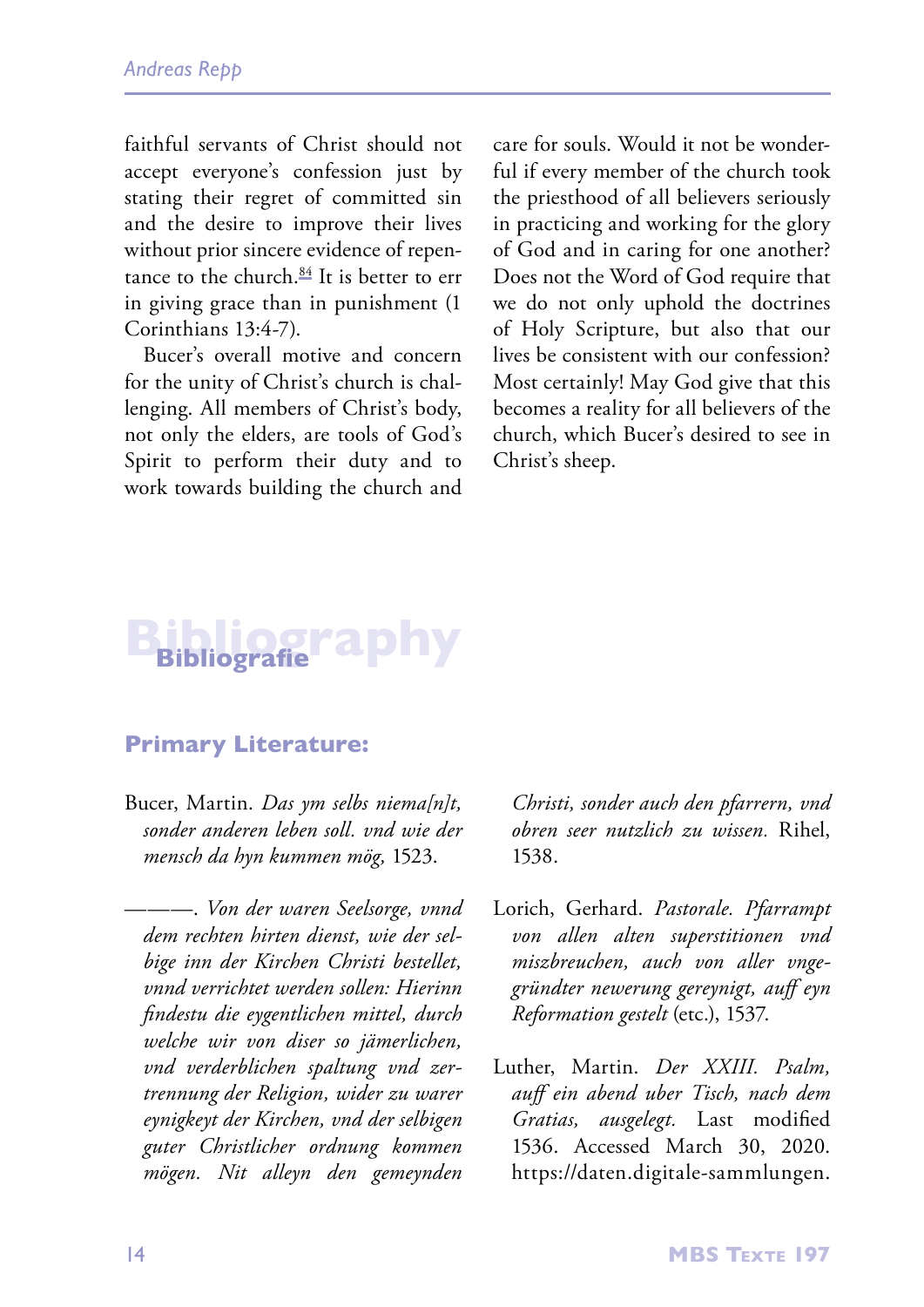faithful servants of Christ should not accept everyone's confession just by stating their regret of committed sin and the desire to improve their lives without prior sincere evidence of repentance to the church. $84$  It is better to err in giving grace than in punishment (1 Corinthians 13:4-7).

Bucer's overall motive and concern for the unity of Christ's church is challenging. All members of Christ's body, not only the elders, are tools of God's Spirit to perform their duty and to work towards building the church and care for souls. Would it not be wonderful if every member of the church took the priesthood of all believers seriously in practicing and working for the glory of God and in caring for one another? Does not the Word of God require that we do not only uphold the doctrines of Holy Scripture, but also that our lives be consistent with our confession? Most certainly! May God give that this becomes a reality for all believers of the church, which Bucer's desired to see in Christ's sheep.

# **Bibliography Bibliografie**

### **Primary Literature:**

Bucer, Martin. *Das ym selbs niema[n]t, sonder anderen leben soll. vnd wie der mensch da hyn kummen mög,* 1523.

———. *Von der waren Seelsorge, vnnd dem rechten hirten dienst, wie der selbige inn der Kirchen Christi bestellet, vnnd verrichtet werden sollen: Hierinn findestu die eygentlichen mittel, durch welche wir von diser so jämerlichen, vnd verderblichen spaltung vnd zertrennung der Religion, wider zu warer eynigkeyt der Kirchen, vnd der selbigen guter Christlicher ordnung kommen mögen. Nit alleyn den gemeynden*  *Christi, sonder auch den pfarrern, vnd obren seer nutzlich zu wissen.* Rihel, 1538.

- Lorich, Gerhard. *Pastorale. Pfarrampt von allen alten superstitionen vnd miszbreuchen, auch von aller vngegründter newerung gereynigt, auff eyn Reformation gestelt* (etc.), 1537.
- Luther, Martin. *Der XXIII. Psalm, auff ein abend uber Tisch, nach dem Gratias, ausgelegt.* Last modified 1536. Accessed March 30, 2020. https://daten.digitale-sammlungen.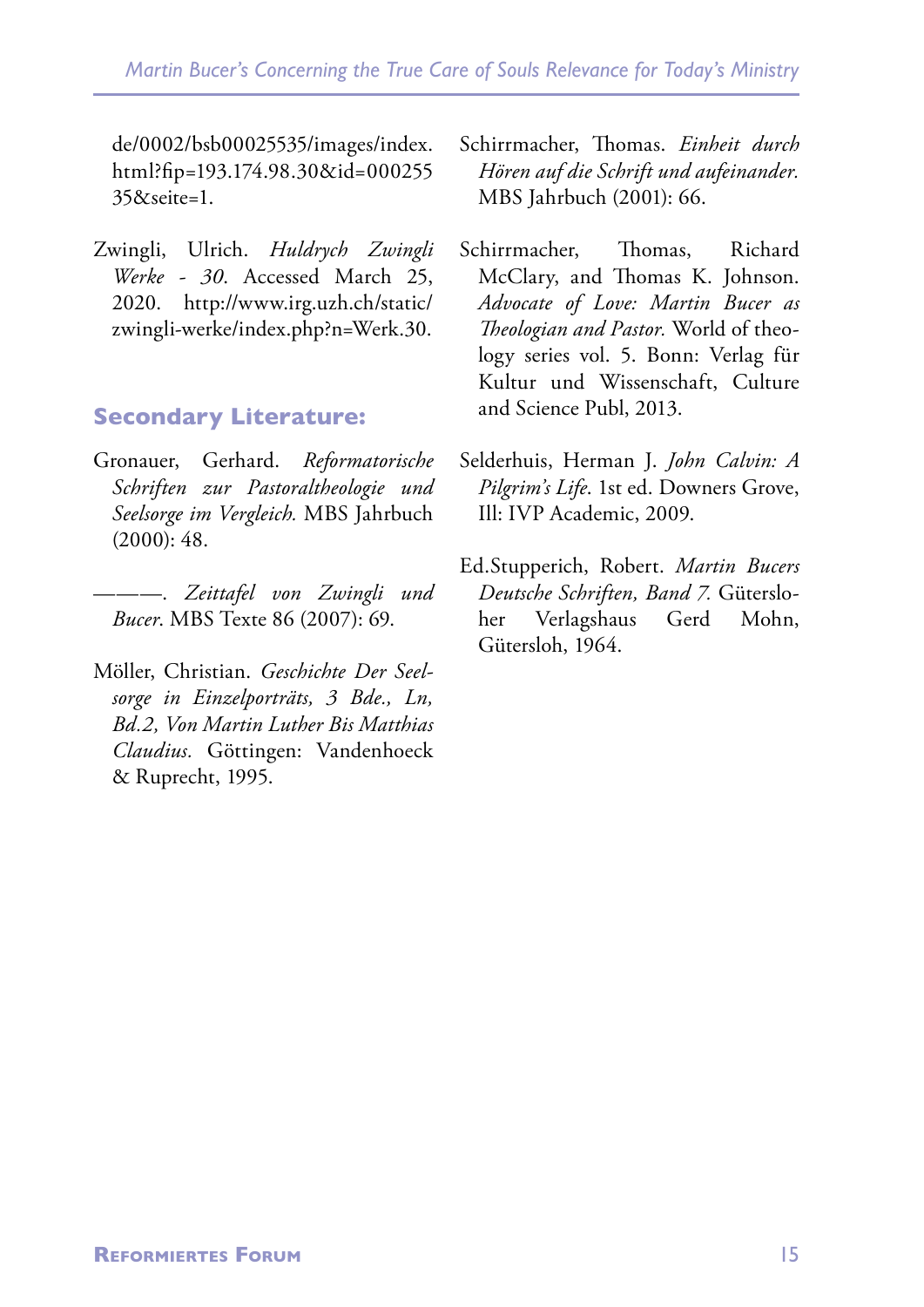de/0002/bsb00025535/images/index. html?fip=193.174.98.30&id=000255 35&seite=1.

Zwingli, Ulrich. *Huldrych Zwingli Werke - 30*. Accessed March 25, 2020. http://www.irg.uzh.ch/static/ zwingli-werke/index.php?n=Werk.30.

### **Secondary Literature:**

- Gronauer, Gerhard. *Reformatorische Schriften zur Pastoraltheologie und Seelsorge im Vergleich.* MBS Jahrbuch  $(2000): 48.$
- ———. *Zeittafel von Zwingli und Bucer*. MBS Texte 86 (2007): 69.
- Möller, Christian. *Geschichte Der Seelsorge in Einzelporträts, 3 Bde., Ln, Bd.2, Von Martin Luther Bis Matthias Claudius.* Göttingen: Vandenhoeck & Ruprecht, 1995.
- Schirrmacher, Thomas. *Einheit durch Hören auf die Schrift und aufeinander.* MBS Jahrbuch (2001): 66.
- Schirrmacher, Thomas, Richard McClary, and Thomas K. Johnson. *Advocate of Love: Martin Bucer as Theologian and Pastor.* World of theology series vol. 5. Bonn: Verlag für Kultur und Wissenschaft, Culture and Science Publ, 2013.
- Selderhuis, Herman J. *John Calvin: A Pilgrim's Life*. 1st ed. Downers Grove, Ill: IVP Academic, 2009.
- Ed.Stupperich, Robert. *Martin Bucers Deutsche Schriften, Band 7.* Gütersloher Verlagshaus Gerd Mohn, Gütersloh, 1964.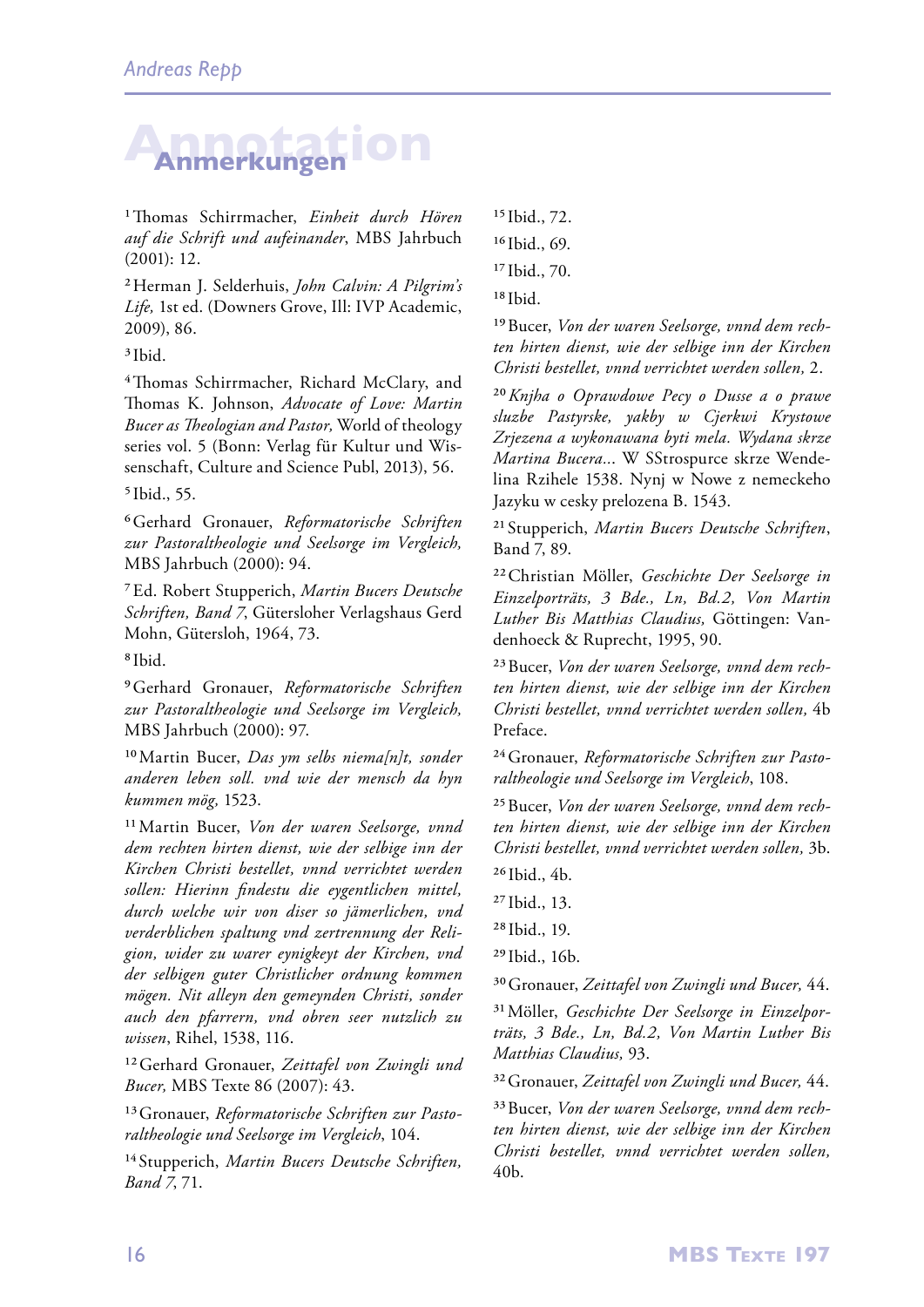# **Annotation Anmerkungen**

1Thomas Schirrmacher, *Einheit durch Hören auf die Schrift und aufeinander*, MBS Jahrbuch (2001): 12.

2Herman J. Selderhuis, *John Calvin: A Pilgrim's Life,* 1st ed. (Downers Grove, Ill: IVP Academic, 2009), 86.

3Ibid.

4Thomas Schirrmacher, Richard McClary, and Thomas K. Johnson, *Advocate of Love: Martin Bucer as Theologian and Pastor,* World of theology series vol. 5 (Bonn: Verlag für Kultur und Wissenschaft, Culture and Science Publ, 2013), 56.

5Ibid., 55.

6Gerhard Gronauer, *Reformatorische Schriften zur Pastoraltheologie und Seelsorge im Vergleich,*  MBS Jahrbuch (2000): 94.

7Ed. Robert Stupperich, *Martin Bucers Deutsche Schriften, Band 7*, Gütersloher Verlagshaus Gerd Mohn, Gütersloh, 1964, 73.

8Ibid.

9Gerhard Gronauer, *Reformatorische Schriften zur Pastoraltheologie und Seelsorge im Vergleich,*  MBS Jahrbuch (2000): 97.

10Martin Bucer, *Das ym selbs niema[n]t, sonder anderen leben soll. vnd wie der mensch da hyn kummen mög,* 1523.

11Martin Bucer, *Von der waren Seelsorge, vnnd dem rechten hirten dienst, wie der selbige inn der Kirchen Christi bestellet, vnnd verrichtet werden sollen: Hierinn findestu die eygentlichen mittel, durch welche wir von diser so jämerlichen, vnd verderblichen spaltung vnd zertrennung der Religion, wider zu warer eynigkeyt der Kirchen, vnd der selbigen guter Christlicher ordnung kommen mögen. Nit alleyn den gemeynden Christi, sonder auch den pfarrern, vnd obren seer nutzlich zu wissen*, Rihel, 1538, 116.

12Gerhard Gronauer, *Zeittafel von Zwingli und Bucer,* MBS Texte 86 (2007): 43.

13Gronauer, *Reformatorische Schriften zur Pastoraltheologie und Seelsorge im Vergleich*, 104.

14 Stupperich, *Martin Bucers Deutsche Schriften, Band 7*, 71.

15Ibid., 72. <sup>16</sup> Ibid., 69.

17Ibid., 70.

18Ibid.

19Bucer, *Von der waren Seelsorge, vnnd dem rechten hirten dienst, wie der selbige inn der Kirchen Christi bestellet, vnnd verrichtet werden sollen,* 2.

20*Knjha o Oprawdowe Pecy o Dusse a o prawe sluzbe Pastyrske, yakby w Cjerkwi Krystowe Zrjezena a wykonawana byti mela. Wydana skrze Martina Bucera..*. W SStrospurce skrze Wendelina Rzihele 1538. Nynj w Nowe z nemeckeho Jazyku w cesky prelozena B. 1543.

21 Stupperich, *Martin Bucers Deutsche Schriften*, Band 7, 89.

22Christian Möller, *Geschichte Der Seelsorge in Einzelporträts, 3 Bde., Ln, Bd.2, Von Martin Luther Bis Matthias Claudius,* Göttingen: Vandenhoeck & Ruprecht, 1995, 90.

23Bucer, *Von der waren Seelsorge, vnnd dem rechten hirten dienst, wie der selbige inn der Kirchen Christi bestellet, vnnd verrichtet werden sollen,* 4b Preface.

24Gronauer, *Reformatorische Schriften zur Pastoraltheologie und Seelsorge im Vergleich*, 108.

25Bucer, *Von der waren Seelsorge, vnnd dem rechten hirten dienst, wie der selbige inn der Kirchen Christi bestellet, vnnd verrichtet werden sollen,* 3b. 26Ibid., 4b.

27Ibid., 13.

28Ibid., 19.

29Ibid., 16b.

30Gronauer, *Zeittafel von Zwingli und Bucer,* 44.

31Möller, *Geschichte Der Seelsorge in Einzelporträts, 3 Bde., Ln, Bd.2, Von Martin Luther Bis Matthias Claudius,* 93.

32Gronauer, *Zeittafel von Zwingli und Bucer,* 44.

33Bucer, *Von der waren Seelsorge, vnnd dem rechten hirten dienst, wie der selbige inn der Kirchen Christi bestellet, vnnd verrichtet werden sollen,*  40b.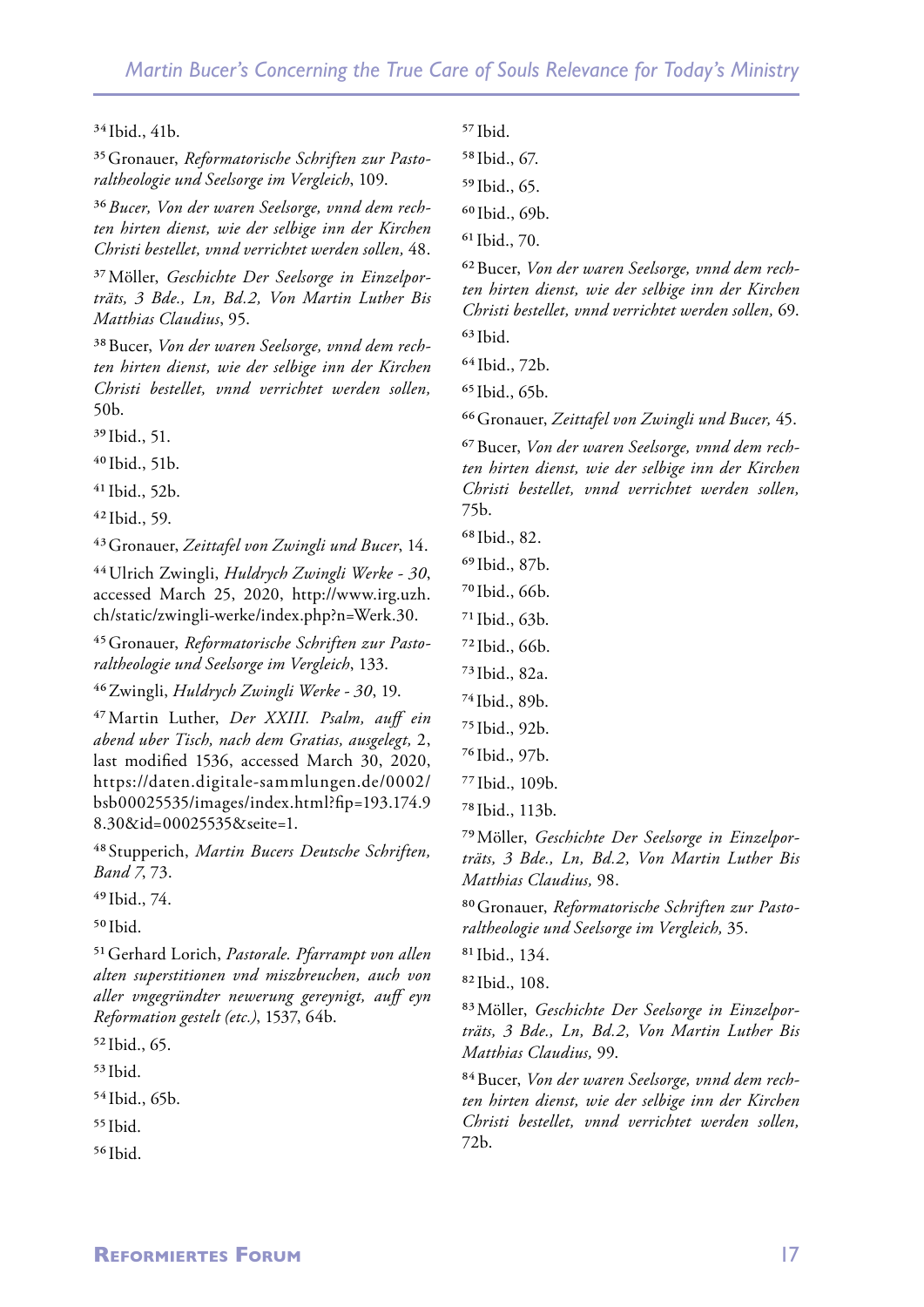#### $34$ Ibid.,  $41<sub>b</sub>$ .

35Gronauer, *Reformatorische Schriften zur Pastoraltheologie und Seelsorge im Vergleich*, 109.

36*Bucer, Von der waren Seelsorge, vnnd dem rechten hirten dienst, wie der selbige inn der Kirchen Christi bestellet, vnnd verrichtet werden sollen,* 48.

37Möller, *Geschichte Der Seelsorge in Einzelporträts, 3 Bde., Ln, Bd.2, Von Martin Luther Bis Matthias Claudius*, 95.

38Bucer, *Von der waren Seelsorge, vnnd dem rechten hirten dienst, wie der selbige inn der Kirchen Christi bestellet, vnnd verrichtet werden sollen,* 50b.

39Ibid., 51.

40Ibid., 51b.

41Ibid., 52b.

 $42$  Ibid., 59.

43Gronauer, *Zeittafel von Zwingli und Bucer*, 14.

44Ulrich Zwingli, *Huldrych Zwingli Werke - 30*, accessed March 25, 2020, http://www.irg.uzh. ch/static/zwingli-werke/index.php?n=Werk.30.

45Gronauer, *Reformatorische Schriften zur Pastoraltheologie und Seelsorge im Vergleich*, 133.

46Zwingli, *Huldrych Zwingli Werke - 30*, 19.

47Martin Luther, *Der XXIII. Psalm, auff ein abend uber Tisch, nach dem Gratias, ausgelegt,* 2, last modified 1536, accessed March 30, 2020, https://daten.digitale-sammlungen.de/0002/ bsb00025535/images/index.html?fip=193.174.9 8.30&id=00025535&seite=1.

48 Stupperich, *Martin Bucers Deutsche Schriften, Band 7*, 73.

49Ibid., 74.

50Ibid.

51Gerhard Lorich, *Pastorale. Pfarrampt von allen alten superstitionen vnd miszbreuchen, auch von aller vngegründter newerung gereynigt, auff eyn Reformation gestelt (etc.)*, 1537, 64b.

52Ibid., 65.

53Ibid.

54Ibid., 65b.

55Ibid.

56Ibid.

 $57$ Ibid.

58Ibid., 67.

59Ibid., 65.

60Ibid., 69b.

61Ibid., 70.

62Bucer, *Von der waren Seelsorge, vnnd dem rechten hirten dienst, wie der selbige inn der Kirchen Christi bestellet, vnnd verrichtet werden sollen,* 69.  $63$ Ibid.

64Ibid., 72b.

65Ibid., 65b.

66Gronauer, *Zeittafel von Zwingli und Bucer,* 45.

67Bucer, *Von der waren Seelsorge, vnnd dem rechten hirten dienst, wie der selbige inn der Kirchen Christi bestellet, vnnd verrichtet werden sollen,* 75b.

68Ibid., 82.

69Ibid., 87b.

- 70Ibid., 66b.
- 71Ibid., 63b.
- 72Ibid., 66b.
- 73Ibid., 82a.
- 74Ibid., 89b.
- 75Ibid., 92b.
- 76Ibid., 97b.
- 77Ibid., 109b.
- 78Ibid., 113b.

79Möller, *Geschichte Der Seelsorge in Einzelporträts, 3 Bde., Ln, Bd.2, Von Martin Luther Bis Matthias Claudius,* 98.

80Gronauer, *Reformatorische Schriften zur Pastoraltheologie und Seelsorge im Vergleich,* 35.

81Ibid., 134.

82Ibid., 108.

83Möller, *Geschichte Der Seelsorge in Einzelporträts, 3 Bde., Ln, Bd.2, Von Martin Luther Bis Matthias Claudius,* 99.

84Bucer, *Von der waren Seelsorge, vnnd dem rechten hirten dienst, wie der selbige inn der Kirchen Christi bestellet, vnnd verrichtet werden sollen,* 72b.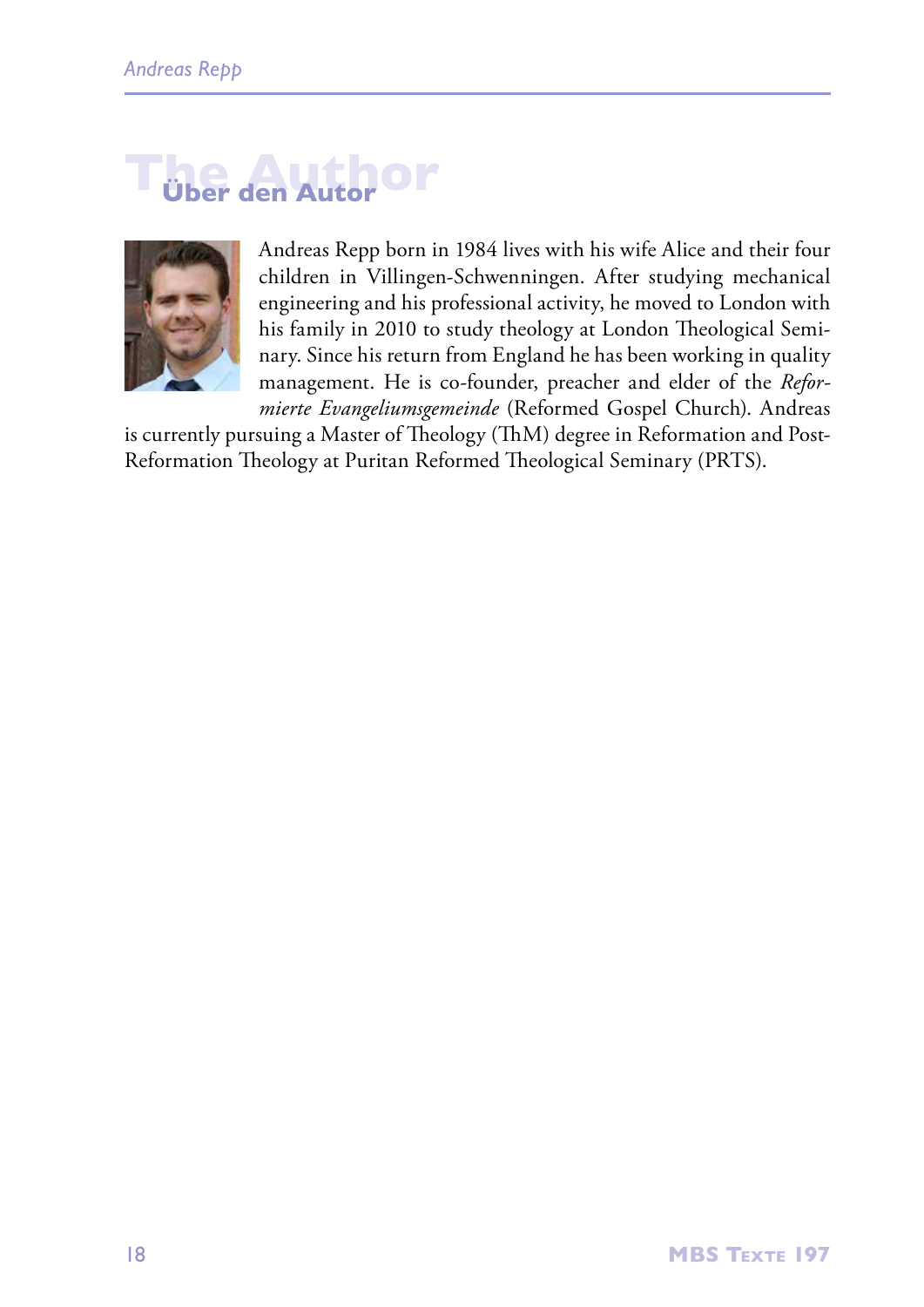# **The Author Über den Autor**



Andreas Repp born in 1984 lives with his wife Alice and their four children in Villingen-Schwenningen. After studying mechanical engineering and his professional activity, he moved to London with his family in 2010 to study theology at London Theological Seminary. Since his return from England he has been working in quality management. He is co-founder, preacher and elder of the *Reformierte Evangeliumsgemeinde* (Reformed Gospel Church). Andreas

is currently pursuing a Master of Theology (ThM) degree in Reformation and Post-Reformation Theology at Puritan Reformed Theological Seminary (PRTS).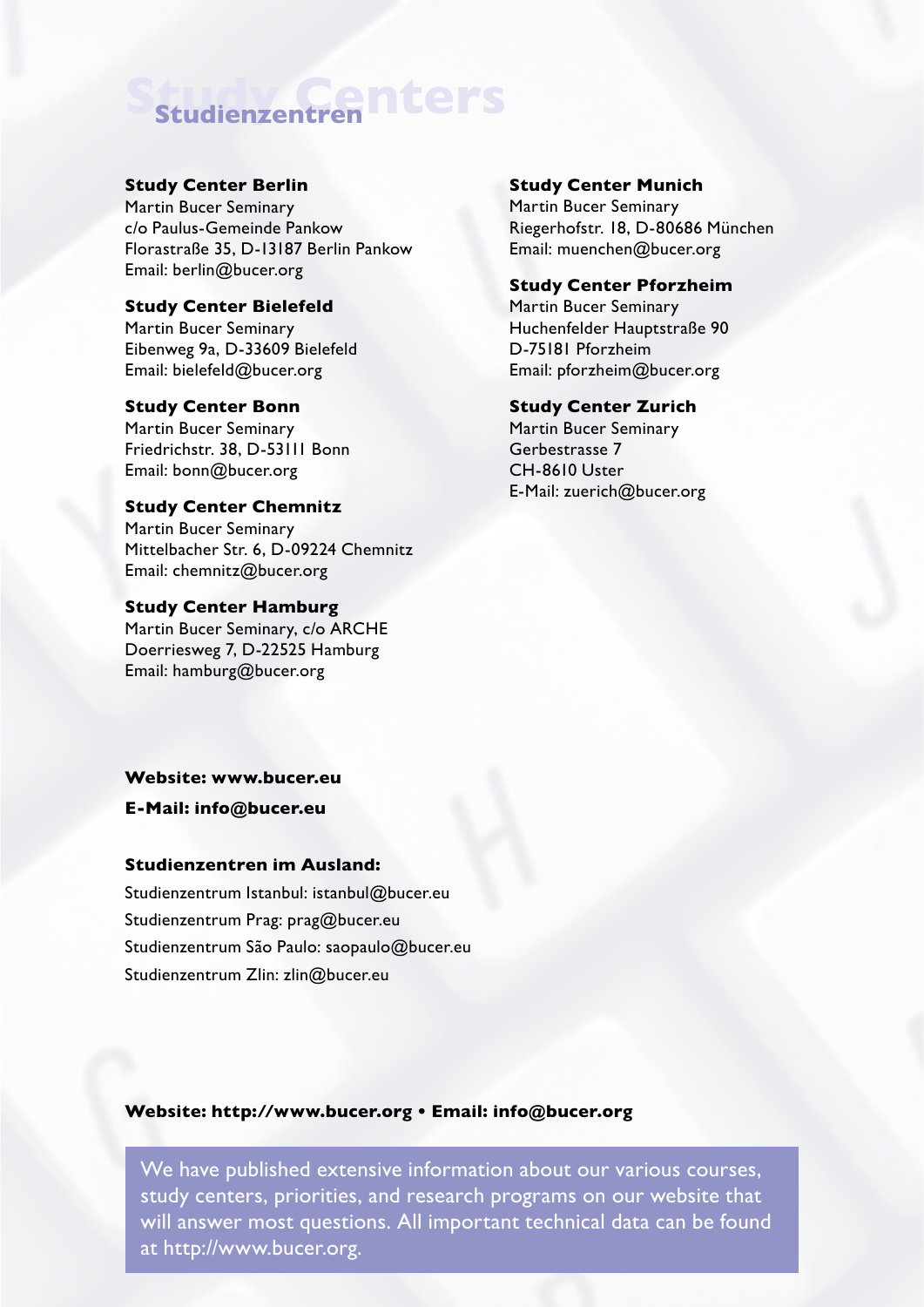# **Study Centers Studienzentren**

#### **Study Center Berlin**

Martin Bucer Seminary c/o Paulus-Gemeinde Pankow Florastraße 35, D-13187 Berlin Pankow Email: berlin@bucer.org

#### **Study Center Bielefeld**

Martin Bucer Seminary Eibenweg 9a, D-33609 Bielefeld Email: bielefeld@bucer.org

#### **Study Center Bonn** Martin Bucer Seminary Friedrichstr. 38, D-53111 Bonn

Email: bonn@bucer.org

### **Study Center Chemnitz**

Martin Bucer Seminary Mittelbacher Str. 6, D-09224 Chemnitz Email: chemnitz@bucer.org

#### **Study Center Hamburg**

Martin Bucer Seminary, c/o ARCHE Doerriesweg 7, D-22525 Hamburg Email: hamburg@bucer.org

#### **Website: www.bucer.eu**

**E-Mail: info@bucer.eu**

#### **Studienzentren im Ausland:**

Studienzentrum Istanbul: istanbul@bucer.eu Studienzentrum Prag: prag@bucer.eu Studienzentrum São Paulo: saopaulo@bucer.eu Studienzentrum Zlin: zlin@bucer.eu

#### **Study Center Munich**

Martin Bucer Seminary Riegerhofstr. 18, D-80686 München Email: muenchen@bucer.org

#### **Study Center Pforzheim**

Martin Bucer Seminary Huchenfelder Hauptstraße 90 D-75181 Pforzheim Email: pforzheim@bucer.org

#### **Study Center Zurich**

Martin Bucer Seminary Gerbestrasse 7 CH-8610 Uster E-Mail: zuerich@bucer.org

#### **Website: http://www.bucer.org • Email: info@bucer.org**

We have published extensive information about our various courses, study centers, priorities, and research programs on our website that will answer most questions. All important technical data can be found at http://www.bucer.org.